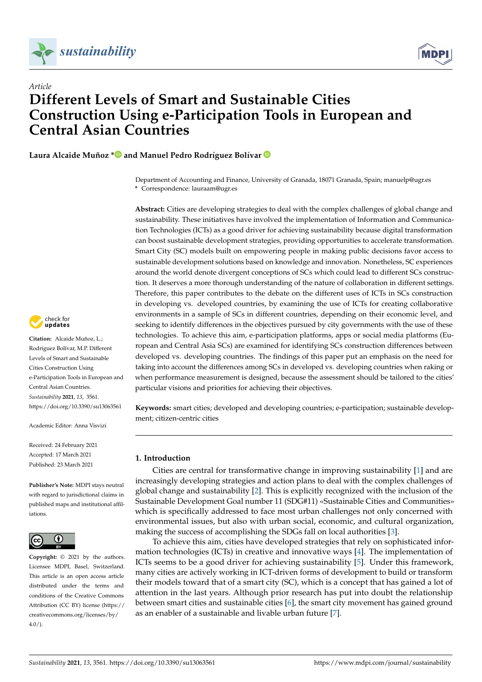



# *Article* **Different Levels of Smart and Sustainable Cities Construction Using e-Participation Tools in European and Central Asian Countries**

**Laura Alcaide Muñoz [\\*](https://orcid.org/0000-0003-3885-0660) and Manuel Pedro Rodríguez Bolívar**

Department of Accounting and Finance, University of Granada, 18071 Granada, Spain; manuelp@ugr.es **\*** Correspondence: lauraam@ugr.es

**Abstract:** Cities are developing strategies to deal with the complex challenges of global change and sustainability. These initiatives have involved the implementation of Information and Communication Technologies (ICTs) as a good driver for achieving sustainability because digital transformation can boost sustainable development strategies, providing opportunities to accelerate transformation. Smart City (SC) models built on empowering people in making public decisions favor access to sustainable development solutions based on knowledge and innovation. Nonetheless, SC experiences around the world denote divergent conceptions of SCs which could lead to different SCs construction. It deserves a more thorough understanding of the nature of collaboration in different settings. Therefore, this paper contributes to the debate on the different uses of ICTs in SCs construction in developing vs. developed countries, by examining the use of ICTs for creating collaborative environments in a sample of SCs in different countries, depending on their economic level, and seeking to identify differences in the objectives pursued by city governments with the use of these technologies. To achieve this aim, e-participation platforms, apps or social media platforms (European and Central Asia SCs) are examined for identifying SCs construction differences between developed vs. developing countries. The findings of this paper put an emphasis on the need for taking into account the differences among SCs in developed vs. developing countries when raking or when performance measurement is designed, because the assessment should be tailored to the cities' particular visions and priorities for achieving their objectives.

**Keywords:** smart cities; developed and developing countries; e-participation; sustainable development; citizen-centric cities

# **1. Introduction**

Cities are central for transformative change in improving sustainability [\[1\]](#page-17-0) and are increasingly developing strategies and action plans to deal with the complex challenges of global change and sustainability [\[2\]](#page-17-1). This is explicitly recognized with the inclusion of the Sustainable Development Goal number 11 (SDG#11) «Sustainable Cities and Communities» which is specifically addressed to face most urban challenges not only concerned with environmental issues, but also with urban social, economic, and cultural organization, making the success of accomplishing the SDGs fall on local authorities [\[3\]](#page-17-2).

To achieve this aim, cities have developed strategies that rely on sophisticated information technologies (ICTs) in creative and innovative ways [\[4\]](#page-17-3). The implementation of ICTs seems to be a good driver for achieving sustainability [\[5\]](#page-17-4). Under this framework, many cities are actively working in ICT-driven forms of development to build or transform their models toward that of a smart city (SC), which is a concept that has gained a lot of attention in the last years. Although prior research has put into doubt the relationship between smart cities and sustainable cities [\[6\]](#page-17-5), the smart city movement has gained ground as an enabler of a sustainable and livable urban future [\[7\]](#page-17-6).



**Citation:** Alcaide Muñoz, L.; Rodríguez Bolívar, M.P. Different Levels of Smart and Sustainable Cities Construction Using e-Participation Tools in European and Central Asian Countries. *Sustainability* **2021**, *13*, 3561. <https://doi.org/10.3390/su13063561>

Academic Editor: Anna Visvizi

Received: 24 February 2021 Accepted: 17 March 2021 Published: 23 March 2021

**Publisher's Note:** MDPI stays neutral with regard to jurisdictional claims in published maps and institutional affiliations.



**Copyright:** © 2021 by the authors. Licensee MDPI, Basel, Switzerland. This article is an open access article distributed under the terms and conditions of the Creative Commons Attribution (CC BY) license (https:/[/](https://creativecommons.org/licenses/by/4.0/) [creativecommons.org/licenses/by/](https://creativecommons.org/licenses/by/4.0/)  $4.0/$ ).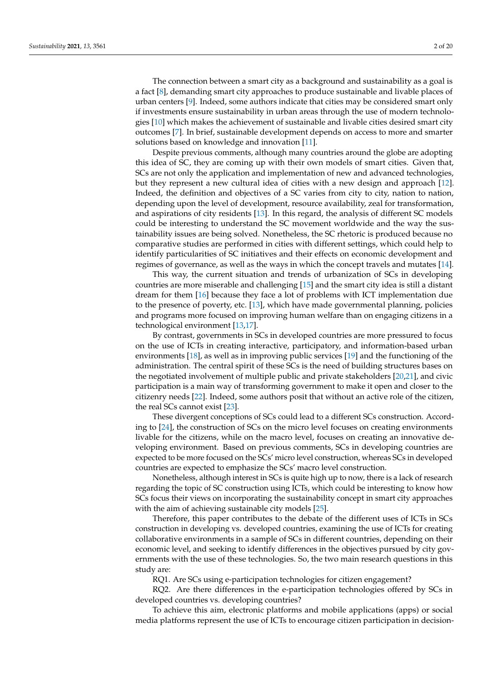The connection between a smart city as a background and sustainability as a goal is a fact [\[8\]](#page-17-7), demanding smart city approaches to produce sustainable and livable places of urban centers [\[9\]](#page-17-8). Indeed, some authors indicate that cities may be considered smart only if investments ensure sustainability in urban areas through the use of modern technologies [\[10\]](#page-17-9) which makes the achievement of sustainable and livable cities desired smart city outcomes [\[7\]](#page-17-6). In brief, sustainable development depends on access to more and smarter solutions based on knowledge and innovation [\[11\]](#page-17-10).

Despite previous comments, although many countries around the globe are adopting this idea of SC, they are coming up with their own models of smart cities. Given that, SCs are not only the application and implementation of new and advanced technologies, but they represent a new cultural idea of cities with a new design and approach [\[12\]](#page-17-11). Indeed, the definition and objectives of a SC varies from city to city, nation to nation, depending upon the level of development, resource availability, zeal for transformation, and aspirations of city residents [\[13\]](#page-17-12). In this regard, the analysis of different SC models could be interesting to understand the SC movement worldwide and the way the sustainability issues are being solved. Nonetheless, the SC rhetoric is produced because no comparative studies are performed in cities with different settings, which could help to identify particularities of SC initiatives and their effects on economic development and regimes of governance, as well as the ways in which the concept travels and mutates [\[14\]](#page-17-13).

This way, the current situation and trends of urbanization of SCs in developing countries are more miserable and challenging [\[15\]](#page-17-14) and the smart city idea is still a distant dream for them [\[16\]](#page-18-0) because they face a lot of problems with ICT implementation due to the presence of poverty, etc. [\[13\]](#page-17-12), which have made governmental planning, policies and programs more focused on improving human welfare than on engaging citizens in a technological environment [\[13](#page-17-12)[,17\]](#page-18-1).

By contrast, governments in SCs in developed countries are more pressured to focus on the use of ICTs in creating interactive, participatory, and information-based urban environments [\[18\]](#page-18-2), as well as in improving public services [\[19\]](#page-18-3) and the functioning of the administration. The central spirit of these SCs is the need of building structures bases on the negotiated involvement of multiple public and private stakeholders [\[20,](#page-18-4)[21\]](#page-18-5), and civic participation is a main way of transforming government to make it open and closer to the citizenry needs [\[22\]](#page-18-6). Indeed, some authors posit that without an active role of the citizen, the real SCs cannot exist [\[23\]](#page-18-7).

These divergent conceptions of SCs could lead to a different SCs construction. According to [\[24\]](#page-18-8), the construction of SCs on the micro level focuses on creating environments livable for the citizens, while on the macro level, focuses on creating an innovative developing environment. Based on previous comments, SCs in developing countries are expected to be more focused on the SCs' micro level construction, whereas SCs in developed countries are expected to emphasize the SCs' macro level construction.

Nonetheless, although interest in SCs is quite high up to now, there is a lack of research regarding the topic of SC construction using ICTs, which could be interesting to know how SCs focus their views on incorporating the sustainability concept in smart city approaches with the aim of achieving sustainable city models [\[25\]](#page-18-9).

Therefore, this paper contributes to the debate of the different uses of ICTs in SCs construction in developing vs. developed countries, examining the use of ICTs for creating collaborative environments in a sample of SCs in different countries, depending on their economic level, and seeking to identify differences in the objectives pursued by city governments with the use of these technologies. So, the two main research questions in this study are:

RQ1. Are SCs using e-participation technologies for citizen engagement?

RQ2. Are there differences in the e-participation technologies offered by SCs in developed countries vs. developing countries?

To achieve this aim, electronic platforms and mobile applications (apps) or social media platforms represent the use of ICTs to encourage citizen participation in decision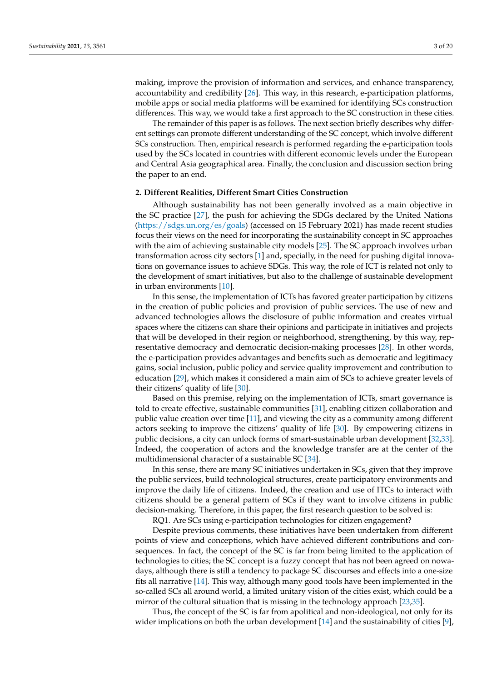making, improve the provision of information and services, and enhance transparency, accountability and credibility [\[26\]](#page-18-10). This way, in this research, e-participation platforms, mobile apps or social media platforms will be examined for identifying SCs construction differences. This way, we would take a first approach to the SC construction in these cities.

The remainder of this paper is as follows. The next section briefly describes why different settings can promote different understanding of the SC concept, which involve different SCs construction. Then, empirical research is performed regarding the e-participation tools used by the SCs located in countries with different economic levels under the European and Central Asia geographical area. Finally, the conclusion and discussion section bring the paper to an end.

#### **2. Different Realities, Different Smart Cities Construction**

Although sustainability has not been generally involved as a main objective in the SC practice [\[27\]](#page-18-11), the push for achieving the SDGs declared by the United Nations [\(https://sdgs.un.org/es/goals\)](https://sdgs.un.org/es/goals) (accessed on 15 February 2021) has made recent studies focus their views on the need for incorporating the sustainability concept in SC approaches with the aim of achieving sustainable city models [\[25\]](#page-18-9). The SC approach involves urban transformation across city sectors [\[1\]](#page-17-0) and, specially, in the need for pushing digital innovations on governance issues to achieve SDGs. This way, the role of ICT is related not only to the development of smart initiatives, but also to the challenge of sustainable development in urban environments [\[10\]](#page-17-9).

In this sense, the implementation of ICTs has favored greater participation by citizens in the creation of public policies and provision of public services. The use of new and advanced technologies allows the disclosure of public information and creates virtual spaces where the citizens can share their opinions and participate in initiatives and projects that will be developed in their region or neighborhood, strengthening, by this way, representative democracy and democratic decision-making processes [\[28\]](#page-18-12). In other words, the e-participation provides advantages and benefits such as democratic and legitimacy gains, social inclusion, public policy and service quality improvement and contribution to education [\[29\]](#page-18-13), which makes it considered a main aim of SCs to achieve greater levels of their citizens' quality of life [\[30\]](#page-18-14).

Based on this premise, relying on the implementation of ICTs, smart governance is told to create effective, sustainable communities [\[31\]](#page-18-15), enabling citizen collaboration and public value creation over time [\[11\]](#page-17-10), and viewing the city as a community among different actors seeking to improve the citizens' quality of life [\[30\]](#page-18-14). By empowering citizens in public decisions, a city can unlock forms of smart-sustainable urban development [\[32,](#page-18-16)[33\]](#page-18-17). Indeed, the cooperation of actors and the knowledge transfer are at the center of the multidimensional character of a sustainable SC [\[34\]](#page-18-18).

In this sense, there are many SC initiatives undertaken in SCs, given that they improve the public services, build technological structures, create participatory environments and improve the daily life of citizens. Indeed, the creation and use of ITCs to interact with citizens should be a general pattern of SCs if they want to involve citizens in public decision-making. Therefore, in this paper, the first research question to be solved is:

RQ1. Are SCs using e-participation technologies for citizen engagement?

Despite previous comments, these initiatives have been undertaken from different points of view and conceptions, which have achieved different contributions and consequences. In fact, the concept of the SC is far from being limited to the application of technologies to cities; the SC concept is a fuzzy concept that has not been agreed on nowadays, although there is still a tendency to package SC discourses and effects into a one-size fits all narrative [\[14\]](#page-17-13). This way, although many good tools have been implemented in the so-called SCs all around world, a limited unitary vision of the cities exist, which could be a mirror of the cultural situation that is missing in the technology approach [\[23](#page-18-7)[,35\]](#page-18-19).

Thus, the concept of the SC is far from apolitical and non-ideological, not only for its wider implications on both the urban development [\[14\]](#page-17-13) and the sustainability of cities [\[9\]](#page-17-8),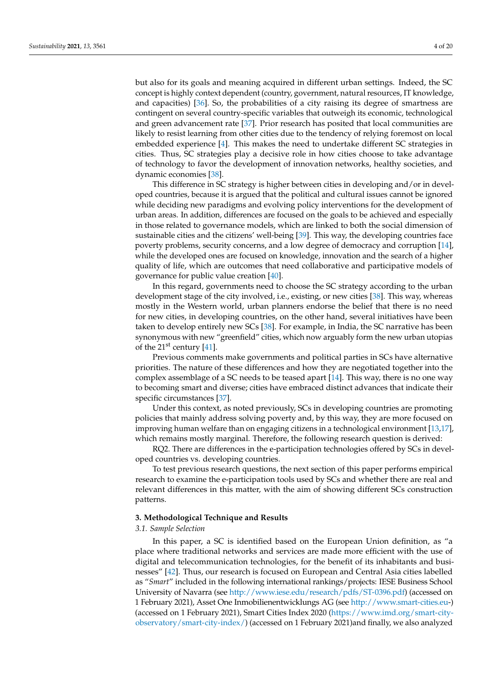but also for its goals and meaning acquired in different urban settings. Indeed, the SC concept is highly context dependent (country, government, natural resources, IT knowledge, and capacities) [\[36\]](#page-18-20). So, the probabilities of a city raising its degree of smartness are contingent on several country-specific variables that outweigh its economic, technological and green advancement rate [\[37\]](#page-18-21). Prior research has posited that local communities are likely to resist learning from other cities due to the tendency of relying foremost on local embedded experience [\[4\]](#page-17-3). This makes the need to undertake different SC strategies in cities. Thus, SC strategies play a decisive role in how cities choose to take advantage of technology to favor the development of innovation networks, healthy societies, and dynamic economies [\[38\]](#page-18-22).

This difference in SC strategy is higher between cities in developing and/or in developed countries, because it is argued that the political and cultural issues cannot be ignored while deciding new paradigms and evolving policy interventions for the development of urban areas. In addition, differences are focused on the goals to be achieved and especially in those related to governance models, which are linked to both the social dimension of sustainable cities and the citizens' well-being [\[39\]](#page-18-23). This way, the developing countries face poverty problems, security concerns, and a low degree of democracy and corruption [\[14\]](#page-17-13), while the developed ones are focused on knowledge, innovation and the search of a higher quality of life, which are outcomes that need collaborative and participative models of governance for public value creation [\[40\]](#page-18-24).

In this regard, governments need to choose the SC strategy according to the urban development stage of the city involved, i.e., existing, or new cities [\[38\]](#page-18-22). This way, whereas mostly in the Western world, urban planners endorse the belief that there is no need for new cities, in developing countries, on the other hand, several initiatives have been taken to develop entirely new SCs [\[38\]](#page-18-22). For example, in India, the SC narrative has been synonymous with new "greenfield" cities, which now arguably form the new urban utopias of the  $21^{st}$  century [\[41\]](#page-18-25).

Previous comments make governments and political parties in SCs have alternative priorities. The nature of these differences and how they are negotiated together into the complex assemblage of a SC needs to be teased apart [\[14\]](#page-17-13). This way, there is no one way to becoming smart and diverse; cities have embraced distinct advances that indicate their specific circumstances [\[37\]](#page-18-21).

Under this context, as noted previously, SCs in developing countries are promoting policies that mainly address solving poverty and, by this way, they are more focused on improving human welfare than on engaging citizens in a technological environment [\[13](#page-17-12)[,17\]](#page-18-1), which remains mostly marginal. Therefore, the following research question is derived:

RQ2. There are differences in the e-participation technologies offered by SCs in developed countries vs. developing countries.

To test previous research questions, the next section of this paper performs empirical research to examine the e-participation tools used by SCs and whether there are real and relevant differences in this matter, with the aim of showing different SCs construction patterns.

## **3. Methodological Technique and Results**

#### *3.1. Sample Selection*

In this paper, a SC is identified based on the European Union definition, as "a place where traditional networks and services are made more efficient with the use of digital and telecommunication technologies, for the benefit of its inhabitants and businesses" [\[42\]](#page-18-26). Thus, our research is focused on European and Central Asia cities labelled as "*Smart*" included in the following international rankings/projects: IESE Business School University of Navarra (see [http://www.iese.edu/research/pdfs/ST-0396.pdf\)](http://www.iese.edu/research/pdfs/ST-0396.pdf) (accessed on 1 February 2021), Asset One Inmobilienentwicklungs AG (see [http://www.smart-cities.eu-](http://www.smart-cities.eu)) (accessed on 1 February 2021), Smart Cities Index 2020 [\(https://www.imd.org/smart-city](https://www.imd.org/smart-city-observatory/smart-city-index/)[observatory/smart-city-index/\)](https://www.imd.org/smart-city-observatory/smart-city-index/) (accessed on 1 February 2021)and finally, we also analyzed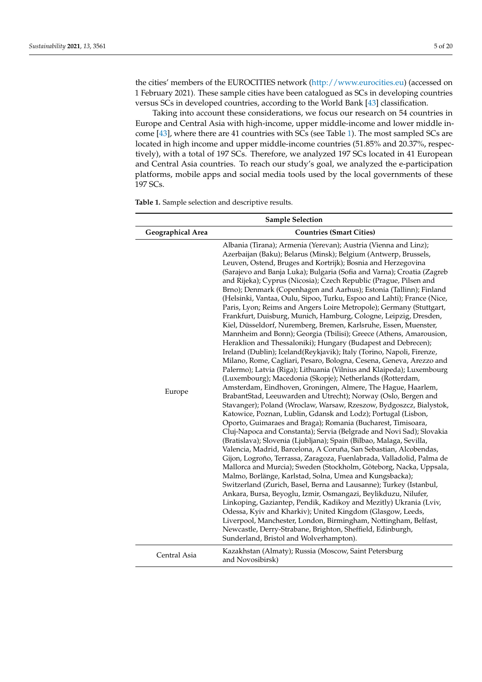the cities' members of the EUROCITIES network [\(http://www.eurocities.eu\)](http://www.eurocities.eu) (accessed on 1 February 2021). These sample cities have been catalogued as SCs in developing countries versus SCs in developed countries, according to the World Bank [\[43\]](#page-18-27) classification.

Taking into account these considerations, we focus our research on 54 countries in Europe and Central Asia with high-income, upper middle-income and lower middle income [\[43\]](#page-18-27), where there are 41 countries with SCs (see Table [1\)](#page-5-0). The most sampled SCs are located in high income and upper middle-income countries (51.85% and 20.37%, respectively), with a total of 197 SCs. Therefore, we analyzed 197 SCs located in 41 European and Central Asia countries. To reach our study's goal, we analyzed the e-participation platforms, mobile apps and social media tools used by the local governments of these 197 SCs.

**Table 1.** Sample selection and descriptive results.

| <b>Sample Selection</b>  |                                                                                                                                                                                                                                                                                                                                                                                                                                                                                                                                                                                                                                                                                                                                                                                                                                                                                                                                                                                                                                                                                                                                                                                                                                                                                                                                                                                                                                                                                                                                                                                                                                                                                                                                                                                                                                                                                                                                                                                                                                                                                                                                                                                                                                                                                                                                                                              |  |  |  |  |  |  |  |
|--------------------------|------------------------------------------------------------------------------------------------------------------------------------------------------------------------------------------------------------------------------------------------------------------------------------------------------------------------------------------------------------------------------------------------------------------------------------------------------------------------------------------------------------------------------------------------------------------------------------------------------------------------------------------------------------------------------------------------------------------------------------------------------------------------------------------------------------------------------------------------------------------------------------------------------------------------------------------------------------------------------------------------------------------------------------------------------------------------------------------------------------------------------------------------------------------------------------------------------------------------------------------------------------------------------------------------------------------------------------------------------------------------------------------------------------------------------------------------------------------------------------------------------------------------------------------------------------------------------------------------------------------------------------------------------------------------------------------------------------------------------------------------------------------------------------------------------------------------------------------------------------------------------------------------------------------------------------------------------------------------------------------------------------------------------------------------------------------------------------------------------------------------------------------------------------------------------------------------------------------------------------------------------------------------------------------------------------------------------------------------------------------------------|--|--|--|--|--|--|--|
| <b>Geographical Area</b> | <b>Countries (Smart Cities)</b>                                                                                                                                                                                                                                                                                                                                                                                                                                                                                                                                                                                                                                                                                                                                                                                                                                                                                                                                                                                                                                                                                                                                                                                                                                                                                                                                                                                                                                                                                                                                                                                                                                                                                                                                                                                                                                                                                                                                                                                                                                                                                                                                                                                                                                                                                                                                              |  |  |  |  |  |  |  |
| Europe                   | Albania (Tirana); Armenia (Yerevan); Austria (Vienna and Linz);<br>Azerbaijan (Baku); Belarus (Minsk); Belgium (Antwerp, Brussels,<br>Leuven, Ostend, Bruges and Kortrijk); Bosnia and Herzegovina<br>(Sarajevo and Banja Luka); Bulgaria (Sofia and Varna); Croatia (Zagreb<br>and Rijeka); Cyprus (Nicosia); Czech Republic (Prague, Pilsen and<br>Brno); Denmark (Copenhagen and Aarhus); Estonia (Tallinn); Finland<br>(Helsinki, Vantaa, Oulu, Sipoo, Turku, Espoo and Lahti); France (Nice,<br>Paris, Lyon; Reims and Angers Loire Metropole); Germany (Stuttgart,<br>Frankfurt, Duisburg, Munich, Hamburg, Cologne, Leipzig, Dresden,<br>Kiel, Düsseldorf, Nuremberg, Bremen, Karlsruhe, Essen, Muenster,<br>Mannheim and Bonn); Georgia (Tbilisi); Greece (Athens, Amarousion,<br>Heraklion and Thessaloniki); Hungary (Budapest and Debrecen);<br>Ireland (Dublin); Iceland(Reykjavik); Italy (Torino, Napoli, Firenze,<br>Milano, Rome, Cagliari, Pesaro, Bologna, Cesena, Geneva, Arezzo and<br>Palermo); Latvia (Riga); Lithuania (Vilnius and Klaipeda); Luxembourg<br>(Luxembourg); Macedonia (Skopje); Netherlands (Rotterdam,<br>Amsterdam, Eindhoven, Groningen, Almere, The Hague, Haarlem,<br>BrabantStad, Leeuwarden and Utrecht); Norway (Oslo, Bergen and<br>Stavanger); Poland (Wroclaw, Warsaw, Rzeszow, Bydgoszcz, Bialystok,<br>Katowice, Poznan, Lublin, Gdansk and Lodz); Portugal (Lisbon,<br>Oporto, Guimaraes and Braga); Romania (Bucharest, Timisoara,<br>Cluj-Napoca and Constanta); Servia (Belgrade and Novi Sad); Slovakia<br>(Bratislava); Slovenia (Ljubljana); Spain (Bilbao, Malaga, Sevilla,<br>Valencia, Madrid, Barcelona, A Coruña, San Sebastian, Alcobendas,<br>Gijon, Logroño, Terrassa, Zaragoza, Fuenlabrada, Valladolid, Palma de<br>Mallorca and Murcia); Sweden (Stockholm, Göteborg, Nacka, Uppsala,<br>Malmo, Borlänge, Karlstad, Solna, Umea and Kungsbacka);<br>Switzerland (Zurich, Basel, Berna and Lausanne); Turkey (Istanbul,<br>Ankara, Bursa, Beyoglu, Izmir, Osmangazi, Beylikduzu, Nilufer,<br>Linkoping, Gaziantep, Pendik, Kadikoy and Mezitly) Ukrania (Lviv,<br>Odessa, Kyiv and Kharkiv); United Kingdom (Glasgow, Leeds,<br>Liverpool, Manchester, London, Birmingham, Nottingham, Belfast,<br>Newcastle, Derry-Strabane, Brighton, Sheffield, Edinburgh,<br>Sunderland, Bristol and Wolverhampton). |  |  |  |  |  |  |  |
| Central Asia             | Kazakhstan (Almaty); Russia (Moscow, Saint Petersburg<br>and Novosibirsk)                                                                                                                                                                                                                                                                                                                                                                                                                                                                                                                                                                                                                                                                                                                                                                                                                                                                                                                                                                                                                                                                                                                                                                                                                                                                                                                                                                                                                                                                                                                                                                                                                                                                                                                                                                                                                                                                                                                                                                                                                                                                                                                                                                                                                                                                                                    |  |  |  |  |  |  |  |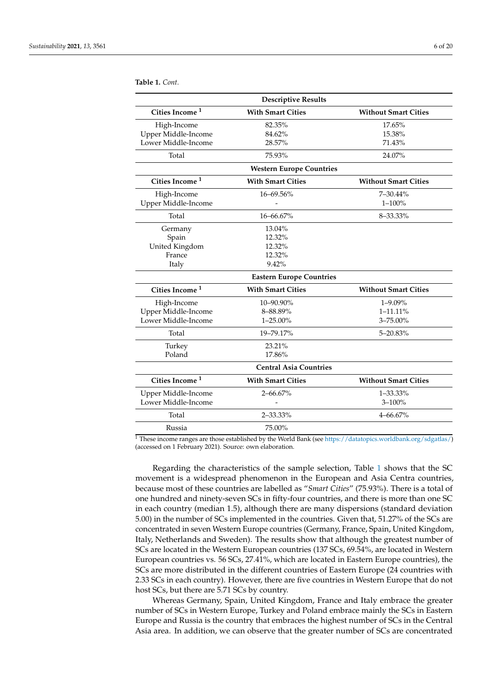<span id="page-5-0"></span>**Table 1.** *Cont.*

| <b>Descriptive Results</b> |                                 |                             |  |  |  |  |  |  |  |  |  |  |
|----------------------------|---------------------------------|-----------------------------|--|--|--|--|--|--|--|--|--|--|
| Cities Income <sup>1</sup> | <b>With Smart Cities</b>        | <b>Without Smart Cities</b> |  |  |  |  |  |  |  |  |  |  |
| High-Income                | 82.35%                          | 17.65%                      |  |  |  |  |  |  |  |  |  |  |
| Upper Middle-Income        | 84.62%                          | 15.38%                      |  |  |  |  |  |  |  |  |  |  |
| Lower Middle-Income        | 28.57%                          | 71.43%                      |  |  |  |  |  |  |  |  |  |  |
| Total                      | 75.93%                          | 24.07%                      |  |  |  |  |  |  |  |  |  |  |
|                            | <b>Western Europe Countries</b> |                             |  |  |  |  |  |  |  |  |  |  |
| Cities Income <sup>1</sup> | <b>With Smart Cities</b>        | <b>Without Smart Cities</b> |  |  |  |  |  |  |  |  |  |  |
| High-Income                | 16-69.56%                       | 7-30.44%                    |  |  |  |  |  |  |  |  |  |  |
| Upper Middle-Income        |                                 | $1 - 100%$                  |  |  |  |  |  |  |  |  |  |  |
| Total                      | $16 - 66.67%$                   | 8-33.33%                    |  |  |  |  |  |  |  |  |  |  |
| Germany                    | 13.04%                          |                             |  |  |  |  |  |  |  |  |  |  |
| Spain                      | 12.32%                          |                             |  |  |  |  |  |  |  |  |  |  |
| United Kingdom             | 12.32%                          |                             |  |  |  |  |  |  |  |  |  |  |
| France                     | 12.32%                          |                             |  |  |  |  |  |  |  |  |  |  |
| Italy                      | 9.42%                           |                             |  |  |  |  |  |  |  |  |  |  |
|                            | <b>Eastern Europe Countries</b> |                             |  |  |  |  |  |  |  |  |  |  |
| Cities Income <sup>1</sup> | <b>With Smart Cities</b>        | <b>Without Smart Cities</b> |  |  |  |  |  |  |  |  |  |  |
| High-Income                | 10-90.90%                       | $1 - 9.09\%$                |  |  |  |  |  |  |  |  |  |  |
| Upper Middle-Income        | 8-88.89%                        | $1 - 11.11\%$               |  |  |  |  |  |  |  |  |  |  |
| Lower Middle-Income        | 1-25.00%                        | 3-75.00%                    |  |  |  |  |  |  |  |  |  |  |
| Total                      | 19-79.17%                       | 5-20.83%                    |  |  |  |  |  |  |  |  |  |  |
| Turkey                     | 23.21%                          |                             |  |  |  |  |  |  |  |  |  |  |
| Poland                     | 17.86%                          |                             |  |  |  |  |  |  |  |  |  |  |
|                            | <b>Central Asia Countries</b>   |                             |  |  |  |  |  |  |  |  |  |  |
| Cities Income <sup>1</sup> | <b>With Smart Cities</b>        | <b>Without Smart Cities</b> |  |  |  |  |  |  |  |  |  |  |
| Upper Middle-Income        | 2-66.67%                        | 1-33.33%                    |  |  |  |  |  |  |  |  |  |  |
| Lower Middle-Income        |                                 | $3 - 100%$                  |  |  |  |  |  |  |  |  |  |  |
| Total                      | 2-33.33%                        | $4 - 66.67%$                |  |  |  |  |  |  |  |  |  |  |
| Russia                     | 75.00%                          |                             |  |  |  |  |  |  |  |  |  |  |

<sup>1</sup> These income ranges are those established by the World Bank (see [https://datatopics.worldbank.org/sdgatlas/\)](https://datatopics.worldbank.org/sdgatlas/) (accessed on 1 February 2021). Source: own elaboration.

Regarding the characteristics of the sample selection, Table [1](#page-5-0) shows that the SC movement is a widespread phenomenon in the European and Asia Centra countries, because most of these countries are labelled as "*Smart Cities*" (75.93%). There is a total of one hundred and ninety-seven SCs in fifty-four countries, and there is more than one SC in each country (median 1.5), although there are many dispersions (standard deviation 5.00) in the number of SCs implemented in the countries. Given that, 51.27% of the SCs are concentrated in seven Western Europe countries (Germany, France, Spain, United Kingdom, Italy, Netherlands and Sweden). The results show that although the greatest number of SCs are located in the Western European countries (137 SCs, 69.54%, are located in Western European countries vs. 56 SCs, 27.41%, which are located in Eastern Europe countries), the SCs are more distributed in the different countries of Eastern Europe (24 countries with 2.33 SCs in each country). However, there are five countries in Western Europe that do not host SCs, but there are 5.71 SCs by country.

Whereas Germany, Spain, United Kingdom, France and Italy embrace the greater number of SCs in Western Europe, Turkey and Poland embrace mainly the SCs in Eastern Europe and Russia is the country that embraces the highest number of SCs in the Central Asia area. In addition, we can observe that the greater number of SCs are concentrated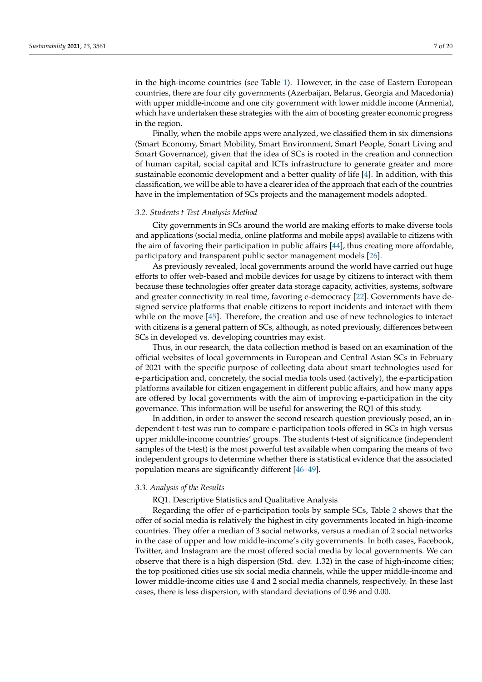in the high-income countries (see Table [1\)](#page-5-0). However, in the case of Eastern European countries, there are four city governments (Azerbaijan, Belarus, Georgia and Macedonia) with upper middle-income and one city government with lower middle income (Armenia), which have undertaken these strategies with the aim of boosting greater economic progress in the region.

Finally, when the mobile apps were analyzed, we classified them in six dimensions (Smart Economy, Smart Mobility, Smart Environment, Smart People, Smart Living and Smart Governance), given that the idea of SCs is rooted in the creation and connection of human capital, social capital and ICTs infrastructure to generate greater and more sustainable economic development and a better quality of life [\[4\]](#page-17-3). In addition, with this classification, we will be able to have a clearer idea of the approach that each of the countries have in the implementation of SCs projects and the management models adopted.

#### *3.2. Students t-Test Analysis Method*

City governments in SCs around the world are making efforts to make diverse tools and applications (social media, online platforms and mobile apps) available to citizens with the aim of favoring their participation in public affairs [\[44\]](#page-18-28), thus creating more affordable, participatory and transparent public sector management models [\[26\]](#page-18-10).

As previously revealed, local governments around the world have carried out huge efforts to offer web-based and mobile devices for usage by citizens to interact with them because these technologies offer greater data storage capacity, activities, systems, software and greater connectivity in real time, favoring e-democracy [\[22\]](#page-18-6). Governments have designed service platforms that enable citizens to report incidents and interact with them while on the move [\[45\]](#page-18-29). Therefore, the creation and use of new technologies to interact with citizens is a general pattern of SCs, although, as noted previously, differences between SCs in developed vs. developing countries may exist.

Thus, in our research, the data collection method is based on an examination of the official websites of local governments in European and Central Asian SCs in February of 2021 with the specific purpose of collecting data about smart technologies used for e-participation and, concretely, the social media tools used (actively), the e-participation platforms available for citizen engagement in different public affairs, and how many apps are offered by local governments with the aim of improving e-participation in the city governance. This information will be useful for answering the RQ1 of this study.

In addition, in order to answer the second research question previously posed, an independent t-test was run to compare e-participation tools offered in SCs in high versus upper middle-income countries' groups. The students t-test of significance (independent samples of the t-test) is the most powerful test available when comparing the means of two independent groups to determine whether there is statistical evidence that the associated population means are significantly different [\[46–](#page-18-30)[49\]](#page-18-31).

#### *3.3. Analysis of the Results*

RQ1. Descriptive Statistics and Qualitative Analysis

Regarding the offer of e-participation tools by sample SCs, Table [2](#page-9-0) shows that the offer of social media is relatively the highest in city governments located in high-income countries. They offer a median of 3 social networks, versus a median of 2 social networks in the case of upper and low middle-income's city governments. In both cases, Facebook, Twitter, and Instagram are the most offered social media by local governments. We can observe that there is a high dispersion (Std. dev. 1.32) in the case of high-income cities; the top positioned cities use six social media channels, while the upper middle-income and lower middle-income cities use 4 and 2 social media channels, respectively. In these last cases, there is less dispersion, with standard deviations of 0.96 and 0.00.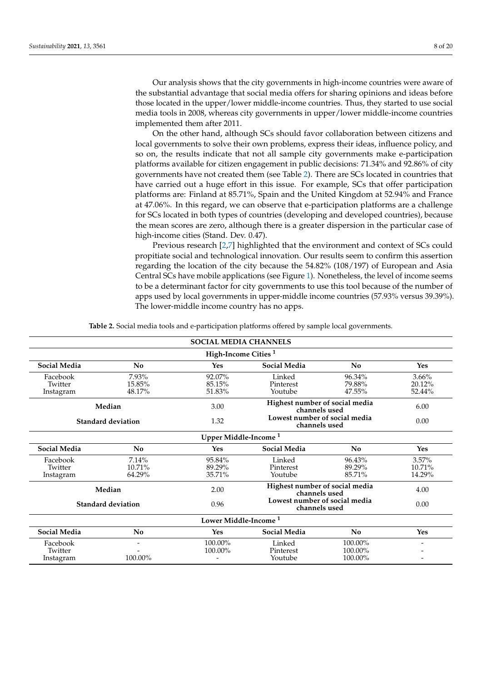Our analysis shows that the city governments in high-income countries were aware of the substantial advantage that social media offers for sharing opinions and ideas before those located in the upper/lower middle-income countries. Thus, they started to use social media tools in 2008, whereas city governments in upper/lower middle-income countries implemented them after 2011.

On the other hand, although SCs should favor collaboration between citizens and local governments to solve their own problems, express their ideas, influence policy, and so on, the results indicate that not all sample city governments make e-participation platforms available for citizen engagement in public decisions: 71.34% and 92.86% of city governments have not created them (see Table [2\)](#page-9-0). There are SCs located in countries that have carried out a huge effort in this issue. For example, SCs that offer participation platforms are: Finland at 85.71%, Spain and the United Kingdom at 52.94% and France at 47.06%. In this regard, we can observe that e-participation platforms are a challenge for SCs located in both types of countries (developing and developed countries), because the mean scores are zero, although there is a greater dispersion in the particular case of high-income cities (Stand. Dev. 0.47).

Previous research [\[2](#page-17-1)[,7\]](#page-17-6) highlighted that the environment and context of SCs could propitiate social and technological innovation. Our results seem to confirm this assertion regarding the location of the city because the 54.82% (108/197) of European and Asia Central SCs have mobile applications (see Figure [1\)](#page-9-1). Nonetheless, the level of income seems to be a determinant factor for city governments to use this tool because of the number of apps used by local governments in upper-middle income countries (57.93% versus 39.39%). The lower-middle income country has no apps.

**Table 2.** Social media tools and e-participation platforms offered by sample local governments.

| <b>SOCIAL MEDIA CHANNELS</b>     |                                  |                                  |                                                 |                               |                                 |  |  |  |  |  |  |
|----------------------------------|----------------------------------|----------------------------------|-------------------------------------------------|-------------------------------|---------------------------------|--|--|--|--|--|--|
| High-Income Cities <sup>1</sup>  |                                  |                                  |                                                 |                               |                                 |  |  |  |  |  |  |
| <b>Social Media</b>              | N <sub>0</sub>                   | Yes                              | <b>Social Media</b>                             | No                            | Yes                             |  |  |  |  |  |  |
| Facebook<br>Twitter<br>Instagram | 7.93%<br>15.85%<br>48.17%        | 92.07%<br>85.15%<br>51.83%       | Linked<br>Pinterest<br>Youtube                  | 96.34%<br>79.88%<br>47.55%    | 3.66%<br>20.12%<br>52.44%       |  |  |  |  |  |  |
|                                  | Median                           | 3.00                             | Highest number of social media<br>channels used |                               |                                 |  |  |  |  |  |  |
|                                  | <b>Standard deviation</b>        | 1.32                             | Lowest number of social media<br>channels used  |                               | 0.00                            |  |  |  |  |  |  |
|                                  | Upper Middle-Income <sup>1</sup> |                                  |                                                 |                               |                                 |  |  |  |  |  |  |
| <b>Social Media</b>              | N <sub>0</sub>                   | Yes                              | N <sub>0</sub>                                  | Yes                           |                                 |  |  |  |  |  |  |
| Facebook<br>Twitter<br>Instagram | 7.14%<br>$10.71\%$<br>64.29%     | 95.84%<br>89.29%<br>35.71%       | Linked<br>Pinterest<br>Youtube                  | 96.43%<br>89.29%<br>85.71%    | $3.57\%$<br>$10.71\%$<br>14.29% |  |  |  |  |  |  |
|                                  | Median                           | 2.00                             | Highest number of social media<br>channels used |                               | 4.00                            |  |  |  |  |  |  |
|                                  | Standard deviation               | 0.96                             | Lowest number of social media<br>channels used  |                               | 0.00                            |  |  |  |  |  |  |
|                                  |                                  | Lower Middle-Income <sup>1</sup> |                                                 |                               |                                 |  |  |  |  |  |  |
| <b>Social Media</b>              | No                               | Yes                              | <b>Social Media</b>                             | No                            | <b>Yes</b>                      |  |  |  |  |  |  |
| Facebook<br>Twitter<br>Instagram | 100.00%                          | 100.00%<br>100.00%               | Linked<br>Pinterest<br>Youtube                  | 100.00%<br>100.00%<br>100.00% |                                 |  |  |  |  |  |  |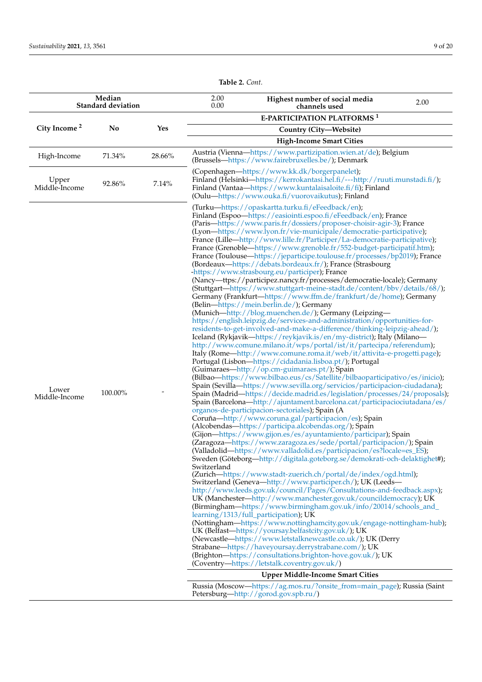**Table 2.** *Cont.*

|                          | Median<br><b>Standard deviation</b> |            | 2.00<br>0.00 | Highest number of social media<br>channels used                                                                                                                                                                                                                                                                                                                                                                                                                                                                                                                                                                                                                                                                                                                                                                                                                                                                                                                                                                                                                                                                                                                                                                                                                                                                                                                                                                                                                                                                                                                                                                                                                                                                                                                                                                                                                                                                                                                                                                                                                                                                                                                                                                                                                                                                                                                                                                                                                                                                                                                                                                                                                                                                                                                                                                                                                                                                                                                                                                                                                                                                                                                                                     | 2.00 |
|--------------------------|-------------------------------------|------------|--------------|-----------------------------------------------------------------------------------------------------------------------------------------------------------------------------------------------------------------------------------------------------------------------------------------------------------------------------------------------------------------------------------------------------------------------------------------------------------------------------------------------------------------------------------------------------------------------------------------------------------------------------------------------------------------------------------------------------------------------------------------------------------------------------------------------------------------------------------------------------------------------------------------------------------------------------------------------------------------------------------------------------------------------------------------------------------------------------------------------------------------------------------------------------------------------------------------------------------------------------------------------------------------------------------------------------------------------------------------------------------------------------------------------------------------------------------------------------------------------------------------------------------------------------------------------------------------------------------------------------------------------------------------------------------------------------------------------------------------------------------------------------------------------------------------------------------------------------------------------------------------------------------------------------------------------------------------------------------------------------------------------------------------------------------------------------------------------------------------------------------------------------------------------------------------------------------------------------------------------------------------------------------------------------------------------------------------------------------------------------------------------------------------------------------------------------------------------------------------------------------------------------------------------------------------------------------------------------------------------------------------------------------------------------------------------------------------------------------------------------------------------------------------------------------------------------------------------------------------------------------------------------------------------------------------------------------------------------------------------------------------------------------------------------------------------------------------------------------------------------------------------------------------------------------------------------------------------------|------|
|                          |                                     |            |              | <b>E-PARTICIPATION PLATFORMS<sup>1</sup></b>                                                                                                                                                                                                                                                                                                                                                                                                                                                                                                                                                                                                                                                                                                                                                                                                                                                                                                                                                                                                                                                                                                                                                                                                                                                                                                                                                                                                                                                                                                                                                                                                                                                                                                                                                                                                                                                                                                                                                                                                                                                                                                                                                                                                                                                                                                                                                                                                                                                                                                                                                                                                                                                                                                                                                                                                                                                                                                                                                                                                                                                                                                                                                        |      |
| City Income <sup>2</sup> | No                                  | <b>Yes</b> |              | Country (City-Website)                                                                                                                                                                                                                                                                                                                                                                                                                                                                                                                                                                                                                                                                                                                                                                                                                                                                                                                                                                                                                                                                                                                                                                                                                                                                                                                                                                                                                                                                                                                                                                                                                                                                                                                                                                                                                                                                                                                                                                                                                                                                                                                                                                                                                                                                                                                                                                                                                                                                                                                                                                                                                                                                                                                                                                                                                                                                                                                                                                                                                                                                                                                                                                              |      |
|                          |                                     |            |              | <b>High-Income Smart Cities</b>                                                                                                                                                                                                                                                                                                                                                                                                                                                                                                                                                                                                                                                                                                                                                                                                                                                                                                                                                                                                                                                                                                                                                                                                                                                                                                                                                                                                                                                                                                                                                                                                                                                                                                                                                                                                                                                                                                                                                                                                                                                                                                                                                                                                                                                                                                                                                                                                                                                                                                                                                                                                                                                                                                                                                                                                                                                                                                                                                                                                                                                                                                                                                                     |      |
| High-Income              | 71.34%                              | 28.66%     |              | Austria (Vienna-https://www.partizipation.wien.at/de); Belgium<br>(Brussels—https://www.fairebruxelles.be/); Denmark                                                                                                                                                                                                                                                                                                                                                                                                                                                                                                                                                                                                                                                                                                                                                                                                                                                                                                                                                                                                                                                                                                                                                                                                                                                                                                                                                                                                                                                                                                                                                                                                                                                                                                                                                                                                                                                                                                                                                                                                                                                                                                                                                                                                                                                                                                                                                                                                                                                                                                                                                                                                                                                                                                                                                                                                                                                                                                                                                                                                                                                                                |      |
| Upper<br>Middle-Income   | 92.86%                              | 7.14%      |              | (Copenhagen—https://www.kk.dk/borgerpanelet);<br>Finland (Helsinki—https://kerrokantasi.hel.fi/---http://ruuti.munstadi.fi/);<br>Finland (Vantaa-https://www.kuntalaisaloite.fi/fi); Finland<br>(Oulu-https://www.ouka.fi/vuorovaikutus); Finland                                                                                                                                                                                                                                                                                                                                                                                                                                                                                                                                                                                                                                                                                                                                                                                                                                                                                                                                                                                                                                                                                                                                                                                                                                                                                                                                                                                                                                                                                                                                                                                                                                                                                                                                                                                                                                                                                                                                                                                                                                                                                                                                                                                                                                                                                                                                                                                                                                                                                                                                                                                                                                                                                                                                                                                                                                                                                                                                                   |      |
| Lower<br>Middle-Income   | 100.00%                             |            | Switzerland  | (Turku—https://opaskartta.turku.fi/eFeedback/en);<br>Finland (Espoo—https://easiointi.espoo.fi/eFeedback/en); France<br>(Paris-https://www.paris.fr/dossiers/proposer-choisir-agir-3); France<br>(Lyon-https://www.lyon.fr/vie-municipale/democratie-participative);<br>France (Lille-http://www.lille.fr/Participer/La-democratie-participative);<br>France (Grenoble-https://www.grenoble.fr/552-budget-participatif.htm);<br>France (Toulouse—https://jeparticipe.toulouse.fr/processes/bp2019); France<br>(Bordeaux—https://debats.bordeaux.fr/); France (Strasbourg)<br>-https://www.strasbourg.eu/participer); France<br>(Nancy-ttps://participez.nancy.fr/processes/democratie-locale); Germany<br>(Stuttgart—https://www.stuttgart-meine-stadt.de/content/bbv/details/68/);<br>Germany (Frankfurt—https://www.ffm.de/frankfurt/de/home); Germany<br>(Belin-https://mein.berlin.de/); Germany<br>(Munich-http://blog.muenchen.de/); Germany (Leipzing-<br>https://english.leipzig.de/services-and-administration/opportunities-for-<br>residents-to-get-involved-and-make-a-difference/thinking-leipzig-ahead/);<br>Iceland (Rykjavik—https://reykjavik.is/en/my-district); Italy (Milano—<br>http://www.comune.milano.it/wps/portal/ist/it/partecipa/referendum);<br>Italy (Rome—http://www.comune.roma.it/web/it/attivita-e-progetti.page);<br>Portugal (Lisbon—https://cidadania.lisboa.pt/); Portugal<br>(Guimaraes—http://op.cm-guimaraes.pt/); Spain<br>(Bilbao—https://www.bilbao.eus/cs/Satellite/bilbaoparticipativo/es/inicio);<br>Spain (Sevilla—https://www.sevilla.org/servicios/participacion-ciudadana);<br>Spain (Madrid-https://decide.madrid.es/legislation/processes/24/proposals);<br>Spain (Barcelona—http://ajuntament.barcelona.cat/participaciociutadana/es/<br>organos-de-participacion-sectoriales); Spain (A<br>Coruña—http://www.coruna.gal/participacion/es); Spain<br>(Alcobendas-https://participa.alcobendas.org/); Spain<br>(Gijon—https://www.gijon.es/es/ayuntamiento/participar); Spain<br>(Zaragoza-https://www.zaragoza.es/sede/portal/participacion/); Spain<br>(Valladolid—https://www.valladolid.es/participacion/es?locale=es_ES);<br>Sweden (Göteborg-http://digitala.goteborg.se/demokrati-och-delaktighet#);<br>(Zurich-https://www.stadt-zuerich.ch/portal/de/index/ogd.html);<br>Switzerland (Geneva-http://www.participer.ch/); UK (Leeds-<br>http://www.leeds.gov.uk/council/Pages/Consultations-and-feedback.aspx);<br>UK (Manchester—http://www.manchester.gov.uk/councildemocracy); UK<br>(Birmingham-https://www.birmingham.gov.uk/info/20014/schools_and_<br>learning/1313/full_participation); UK<br>(Nottingham-https://www.nottinghamcity.gov.uk/engage-nottingham-hub);<br>UK (Belfast-https://yoursay.belfastcity.gov.uk/); UK<br>(Newcastle—https://www.letstalknewcastle.co.uk/); UK (Derry<br>Strabane-https://haveyoursay.derrystrabane.com/); UK<br>(Brighton—https://consultations.brighton-hove.gov.uk/); UK<br>(Coventry—https://letstalk.coventry.gov.uk/)<br><b>Upper Middle-Income Smart Cities</b><br>Russia (Moscow—https://ag.mos.ru/?onsite_from=main_page); Russia (Saint<br>Petersburg-http://gorod.gov.spb.ru/) |      |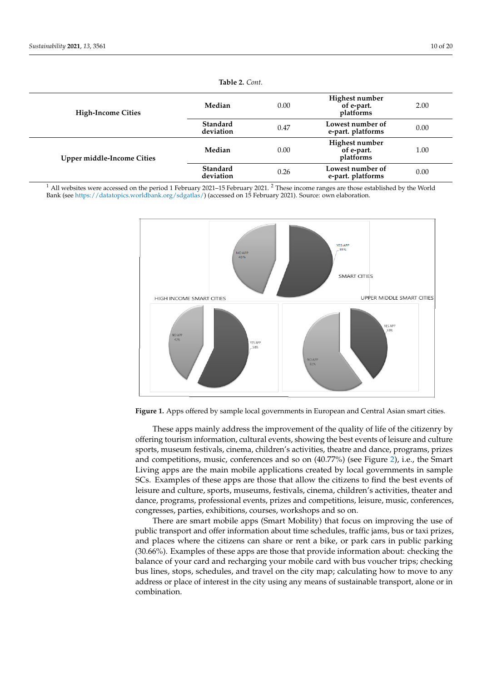<span id="page-9-0"></span>

| <b>High-Income Cities</b>         | Median                | 0.00 | Highest number<br>of e-part.<br>platforms | 2.00 |
|-----------------------------------|-----------------------|------|-------------------------------------------|------|
|                                   | Standard<br>deviation | 0.47 | Lowest number of<br>e-part. platforms     | 0.00 |
| <b>Upper middle-Income Cities</b> | Median                | 0.00 | Highest number<br>of e-part.<br>platforms | 1.00 |
|                                   | Standard<br>deviation | 0.26 | Lowest number of<br>e-part. platforms     | 0.00 |

**Table 2.** *Cont.*

<sup>1</sup> All websites were accessed on the period 1 February 2021–15 February 2021. <sup>2</sup> These income ranges are those established by the World<br>Real (see https://databasias.geocidinability of 2021, 2022, 2021, 2022, 2022, 2022, Bank (see [https://datatopics.worldbank.org/sdgatlas/\)](https://datatopics.worldbank.org/sdgatlas/) (accessed on 15 February 2021). Source: own elaboration.

<span id="page-9-1"></span>

**Figure 1.** Apps offered by sample local governments in European and Central Asian smart cities. **Figure 1.** Apps offered by sample local governments in European and Central Asian smart cities.

These apps mainly address the improvement of the quality of life of the citizenry by These apps mainly address the improvement of the quality of life of the citizenry by offering tourism information, cultural events, showing the best events of leisure and cul-offering tourism information, cultural events, showing the best events of leisure and culture ture sports, museum festivals, cinema, children's activities, theatre and dance, programs, sports, museum festivals, cinema, children's activities, theatre and dance, programs, prizes and competitions, music, conferences and so on (40.77%) (see Figure [2\)](#page-10-0), i.e., the Smart  $\frac{1}{2}$  Living apps are the main mobile applications created by local governments in sample  $P$  scales a percent of these apps are those that allow the citizens to find the best events of  $S$ Cs. Examples of these apps are those that allow the citizens to find the best events of leisure and culture, sports, museums, festivals, cinema, children's activities, theater and leisure and culture, sports, museums, festivals, cinema, children's activities, theater and dance and canare, speris, museums, reservans, mema, emana, leisure, sacaretes, include an dance, programs, professional events, prizes and competitions, leisure, music, conferences,  $T_{\text{SUSC3}}$  parties, exhibitions, courses, workshops and so on. congresses, parties, exhibitions, courses, workshops and so on.

There are smart mobile apps (Smart Mobility) that focus on improving the use of public transport and offer information about time schedules, traffic jams, bus or taxi prizes, and places where the citizens can share or rent a bike, or park cars in public parking (30.66%). Examples of these apps are those that provide information about: checking the balance of your card and recharging your mobile card with bus voucher trips; checking bus lines, stops, schedules, and travel on the city map; calculating how to move to any address or place of interest in the city using any means of sustainable transport, alone or in  $H$  are few smart governance are few smart governance applications (10.80%) that favor citizens' control  $\alpha$ combination.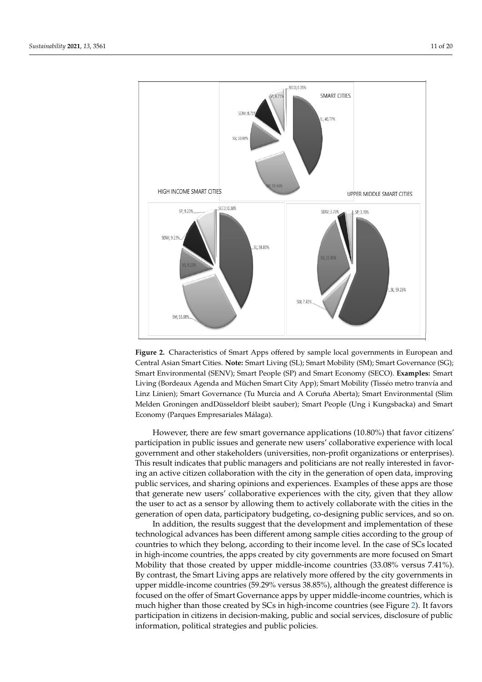<span id="page-10-0"></span>

Figure 2). It favors participation in decision-making, public and social services, public and social services,  $\frac{1}{2}$ 

Figure 2. Characteristics of Smart Apps offered by sample local governments in European and **Note:** Smart Living (SL); Smart Mobility (SM); Smart Governance (SG); Smart Environmental (SENV); Smart People (SP) Central Asian Smart Cities. **Note:** Smart Living (SL); Smart Mobility (SM); Smart Governance (SG); Smart Environmental (SENV); Smart People (SP) and Smart Economy (SECO). **Examples:** Smart Living (Bordeaux Agenda and Müchen Smart City App); Smart Mobility (Tisséo metro tranvía and Linz Linien); Smart Governance (Tu Murcia and A Coruña Aberta); Smart Environmental (Slim Melden Groningen andDüsseldorf bleibt sauber); Smart People (Ung i Kungsbacka) and Smart<br>F Economy (Parques Empresariales Málaga).

However, there are few smart governance applications (10.80%) that favor citizens' **High-Income Smart Cities 1**  government and other stakeholders (universities, non-profit organizations or enterprises). This result indicates that public managers and politicians are not really interested in favor**ions Downloads**  ing an active citizen collaboration with the city in the generation of open data, improving that generate new users' collaborative experiences with the city, given that they allow the user to act as a sensor by allowing them to actively collaborate with the cities in the public services, and sharing opinions and experiences. Examples of these apps are those generation of open data, participatory budgeting, co-designing public services, and so on. participation in public issues and generate new users' collaborative experience with local

In addition, the results suggest that the development and implementation of these technological advances has been different among sample cities according to the group of countries to which they belong, according to their income level. In the case of SCs located in high-income countries, the apps created by city governments are more focused on Smart Mobility that those created by upper middle-income countries (33.08% versus 7.41%). By contrast, the Smart Living apps are relatively more offered by the city governments in upper middle-income countries (59.29% versus 38.85%), although the greatest difference is focused on the offer of Smart Governance apps by upper middle-income countries, which is much higher than those created by SCs in high-income countries (see Figure [2\)](#page-10-0). It favors participation in citizens in decision-making, public and social services, disclosure of public information, political strategies and public policies.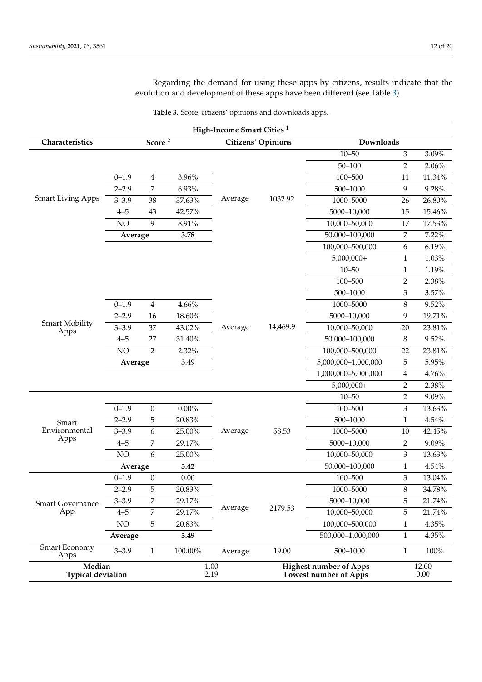Regarding the demand for using these apps by citizens, results indicate that the evolution and development of these apps have been different (see Table [3\)](#page-12-0).

| Table 3. Score, citizens' opinions and downloads apps. |  |  |
|--------------------------------------------------------|--|--|
|--------------------------------------------------------|--|--|

|                                    |           |                    |          | High-Income Smart Cities <sup>1</sup> |                           |                                                        |                             |                   |  |
|------------------------------------|-----------|--------------------|----------|---------------------------------------|---------------------------|--------------------------------------------------------|-----------------------------|-------------------|--|
| Characteristics                    |           | Score <sup>2</sup> |          |                                       | <b>Citizens' Opinions</b> | Downloads                                              |                             |                   |  |
|                                    |           |                    |          |                                       |                           | $10 - 50$                                              | $\ensuremath{\mathfrak{Z}}$ | 3.09%             |  |
|                                    |           | $50 - 100$         | 2        | 2.06%                                 |                           |                                                        |                             |                   |  |
|                                    | $0 - 1.9$ | $\overline{4}$     | 3.96%    |                                       |                           | 100-500                                                | 11                          | 11.34%            |  |
|                                    | $2 - 2.9$ | 7                  | 6.93%    |                                       |                           | $500 - 1000$                                           | $\overline{9}$              | 9.28%             |  |
| <b>Smart Living Apps</b>           | $3 - 3.9$ | 38                 | 37.63%   | Average                               | 1032.92                   | 1000-5000                                              | 26                          | 26.80%            |  |
|                                    | $4 - 5$   | 43                 | 42.57%   |                                       |                           | 5000-10,000                                            | 15                          | 15.46%            |  |
|                                    | NO        | 9                  | 8.91%    |                                       |                           | 10,000-50,000                                          | 17                          | 17.53%            |  |
|                                    | Average   |                    | 3.78     |                                       |                           | 50,000-100,000                                         | 7                           | 7.22%             |  |
|                                    |           |                    |          |                                       |                           | 100,000-500,000                                        | 6                           | 6.19%             |  |
|                                    |           |                    |          |                                       |                           | $5,000,000+$                                           | 1                           | 1.03%             |  |
|                                    |           |                    |          |                                       |                           | $10 - 50$                                              | $\mathbf{1}$                | 1.19%             |  |
|                                    |           |                    |          |                                       |                           | 100-500                                                | $\overline{2}$              | 2.38%             |  |
|                                    |           |                    |          |                                       |                           | $500 - 1000$                                           | $\ensuremath{\mathsf{3}}$   | 3.57%             |  |
|                                    | $0 - 1.9$ | $\overline{4}$     | $4.66\%$ |                                       |                           | 1000-5000                                              | $\,8\,$                     | 9.52%             |  |
|                                    | $2 - 2.9$ | 16                 | 18.60%   |                                       |                           | 5000-10,000                                            | 9                           | 19.71%            |  |
| Smart Mobility<br>Apps             | $3 - 3.9$ | 37                 | 43.02%   | Average                               | 14,469.9                  | 10,000-50,000                                          | 20                          | 23.81%            |  |
|                                    | $4 - 5$   | 27                 | 31.40%   |                                       |                           | 50,000-100,000                                         | $\,8\,$                     | 9.52%             |  |
|                                    | NO        | $\overline{2}$     | 2.32%    |                                       |                           | 100,000-500,000                                        | 22                          | 23.81%            |  |
|                                    | Average   |                    | 3.49     |                                       |                           | 5,000,000-1,000,000                                    | $\mathbf 5$                 | 5.95%             |  |
|                                    |           |                    |          |                                       |                           | 1,000,000-5,000,000                                    | 4                           | 4.76%             |  |
|                                    |           |                    |          |                                       |                           | $5,000,000+$                                           | $\overline{2}$              | 2.38%             |  |
|                                    |           |                    |          |                                       |                           | $10 - 50$                                              | $\overline{2}$              | 9.09%             |  |
|                                    | $0 - 1.9$ | $\boldsymbol{0}$   | $0.00\%$ |                                       |                           | 100-500                                                | $\mathfrak{Z}$              | 13.63%            |  |
| Smart                              | $2 - 2.9$ | 5                  | 20.83%   |                                       |                           | $500 - 1000$                                           | $\mathbf{1}$                | 4.54%             |  |
| Environmental                      | $3 - 3.9$ | 6                  | 25.00%   | Average                               | 58.53                     | 1000-5000                                              | 10                          | 42.45%            |  |
| Apps                               | $4 - 5$   | 7                  | 29.17%   |                                       |                           | 5000-10,000                                            | 2                           | 9.09%             |  |
|                                    | NO        | 6                  | 25.00%   |                                       |                           | 10,000-50,000                                          | $\mathfrak{Z}$              | 13.63%            |  |
|                                    | Average   |                    | 3.42     |                                       |                           | 50,000-100,000                                         | $\mathbf{1}$                | 4.54%             |  |
|                                    | $0 - 1.9$ | $\boldsymbol{0}$   | 0.00     |                                       |                           | 100-500                                                | 3                           | 13.04%            |  |
|                                    | $2 - 2.9$ | 5                  | 20.83%   |                                       |                           | 1000-5000                                              | 8                           | 34.78%            |  |
| <b>Smart Governance</b>            | $3 - 3.9$ | 7                  | 29.17%   |                                       |                           | 5000-10,000                                            | 5                           | 21.74%            |  |
| App                                | $4 - 5$   | $\overline{7}$     | 29.17%   | Average                               | 2179.53                   | 10,000-50,000                                          | 5                           | 21.74%            |  |
|                                    | NO        | 5                  | 20.83%   |                                       |                           | 100,000-500,000                                        | 1                           | 4.35%             |  |
|                                    | Average   |                    | 3.49     |                                       |                           | 500,000-1,000,000                                      | $\mathbf{1}$                | 4.35%             |  |
| Smart Economy<br>Apps              | $3 - 3.9$ | $\mathbf{1}$       | 100.00%  | Average                               | 19.00                     | 500-1000                                               | $\mathbf{1}$                | 100%              |  |
| Median<br><b>Typical deviation</b> |           |                    |          | 1.00<br>2.19                          |                           | <b>Highest number of Apps</b><br>Lowest number of Apps |                             | 12.00<br>$0.00\,$ |  |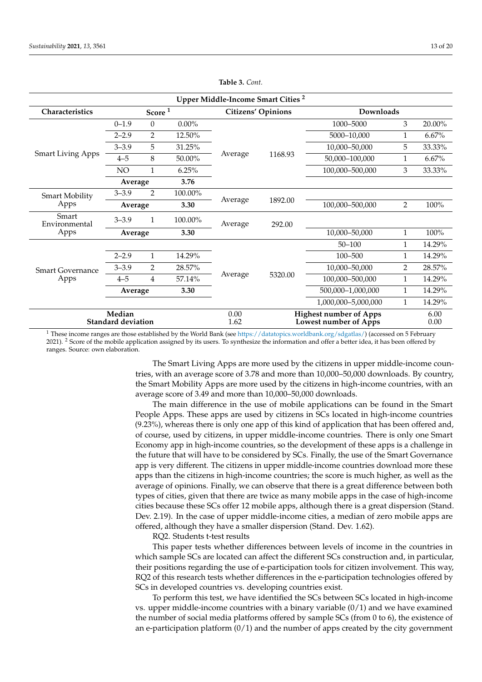<span id="page-12-0"></span>

| Upper Middle-Income Smart Cities <sup>2</sup> |                                |                |              |         |                                                        |                     |                |        |  |
|-----------------------------------------------|--------------------------------|----------------|--------------|---------|--------------------------------------------------------|---------------------|----------------|--------|--|
| Characteristics                               | Score <sup>1</sup><br>$0.00\%$ |                |              |         | <b>Citizens' Opinions</b>                              | <b>Downloads</b>    |                |        |  |
|                                               | $0 - 1.9$                      | $\theta$       |              |         |                                                        | 1000-5000           | 3              | 20.00% |  |
|                                               | $2 - 2.9$                      | $\overline{2}$ | 12.50%       |         |                                                        | 5000-10,000         | 1              | 6.67%  |  |
| <b>Smart Living Apps</b>                      | $3 - 3.9$                      | 5              | 31.25%       |         |                                                        | 10,000-50,000       | 5              | 33.33% |  |
|                                               | $4 - 5$                        | 8              | 50.00%       | Average | 1168.93                                                | 50,000-100,000      | 1              | 6.67%  |  |
|                                               | NO                             | 1              | 6.25%        |         |                                                        | 100,000-500,000     | 3              | 33.33% |  |
|                                               | Average                        |                | 3.76         |         |                                                        |                     |                |        |  |
| <b>Smart Mobility</b><br>Apps                 | $3 - 3.9$                      | $\overline{2}$ | 100.00%      | Average |                                                        |                     |                |        |  |
|                                               | Average                        |                | 3.30         |         | 1892.00                                                | 100,000-500,000     | 2              | 100%   |  |
| Smart<br>Environmental                        | $3 - 3.9$                      | $\mathbf{1}$   | 100.00%      | Average | 292.00                                                 |                     |                |        |  |
| Apps                                          | Average                        |                | 3.30         |         |                                                        | 10,000-50,000       | $\mathbf{1}$   | 100%   |  |
|                                               |                                |                |              |         |                                                        | $50 - 100$          | 1              | 14.29% |  |
|                                               | $2 - 2.9$                      | $\mathbf{1}$   | 14.29%       |         |                                                        | 100-500             | 1              | 14.29% |  |
| <b>Smart Governance</b>                       | $3 - 3.9$                      | $\overline{2}$ | 28.57%       |         |                                                        | 10,000-50,000       | $\overline{2}$ | 28.57% |  |
| Apps                                          | $4 - 5$                        | 4              | 57.14%       | Average | 5320.00                                                | 100,000-500,000     | 1              | 14.29% |  |
|                                               | Average                        |                | 3.30         |         |                                                        | 500,000-1,000,000   |                | 14.29% |  |
|                                               |                                |                |              |         |                                                        | 1,000,000-5,000,000 | $\mathbf{1}$   | 14.29% |  |
| Median<br><b>Standard deviation</b>           |                                |                | 0.00<br>1.62 |         | <b>Highest number of Apps</b><br>Lowest number of Apps |                     | 6.00<br>0.00   |        |  |

**Table 3.** *Cont.*

<sup>1</sup> These income ranges are those established by the World Bank (see [https://datatopics.worldbank.org/sdgatlas/\)](https://datatopics.worldbank.org/sdgatlas/) (accessed on 5 February 2021). <sup>2</sup> Score of the mobile application assigned by its users. To synthesize the information and offer a better idea, it has been offered by ranges. Source: own elaboration.

> The Smart Living Apps are more used by the citizens in upper middle-income countries, with an average score of 3.78 and more than 10,000–50,000 downloads. By country, the Smart Mobility Apps are more used by the citizens in high-income countries, with an average score of 3.49 and more than 10,000–50,000 downloads.

> The main difference in the use of mobile applications can be found in the Smart People Apps. These apps are used by citizens in SCs located in high-income countries (9.23%), whereas there is only one app of this kind of application that has been offered and, of course, used by citizens, in upper middle-income countries. There is only one Smart Economy app in high-income countries, so the development of these apps is a challenge in the future that will have to be considered by SCs. Finally, the use of the Smart Governance app is very different. The citizens in upper middle-income countries download more these apps than the citizens in high-income countries; the score is much higher, as well as the average of opinions. Finally, we can observe that there is a great difference between both types of cities, given that there are twice as many mobile apps in the case of high-income cities because these SCs offer 12 mobile apps, although there is a great dispersion (Stand. Dev. 2.19). In the case of upper middle-income cities, a median of zero mobile apps are offered, although they have a smaller dispersion (Stand. Dev. 1.62).

RQ2. Students t-test results

This paper tests whether differences between levels of income in the countries in which sample SCs are located can affect the different SCs construction and, in particular, their positions regarding the use of e-participation tools for citizen involvement. This way, RQ2 of this research tests whether differences in the e-participation technologies offered by SCs in developed countries vs. developing countries exist.

To perform this test, we have identified the SCs between SCs located in high-income vs. upper middle-income countries with a binary variable  $(0/1)$  and we have examined the number of social media platforms offered by sample SCs (from 0 to 6), the existence of an e-participation platform  $(0/1)$  and the number of apps created by the city government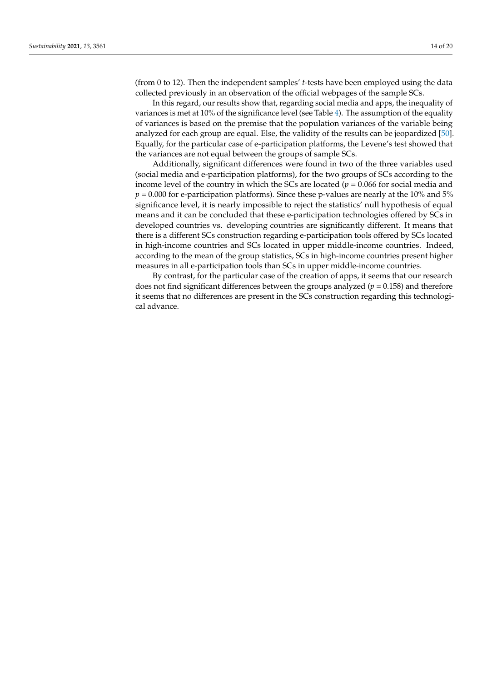(from 0 to 12). Then the independent samples' *t*-tests have been employed using the data collected previously in an observation of the official webpages of the sample SCs.

In this regard, our results show that, regarding social media and apps, the inequality of variances is met at 10% of the significance level (see Table [4\)](#page-14-0). The assumption of the equality of variances is based on the premise that the population variances of the variable being analyzed for each group are equal. Else, the validity of the results can be jeopardized [\[50\]](#page-18-32). Equally, for the particular case of e-participation platforms, the Levene's test showed that the variances are not equal between the groups of sample SCs.

Additionally, significant differences were found in two of the three variables used (social media and e-participation platforms), for the two groups of SCs according to the income level of the country in which the SCs are located ( $p = 0.066$  for social media and  $p = 0.000$  for e-participation platforms). Since these p-values are nearly at the 10% and 5% significance level, it is nearly impossible to reject the statistics' null hypothesis of equal means and it can be concluded that these e-participation technologies offered by SCs in developed countries vs. developing countries are significantly different. It means that there is a different SCs construction regarding e-participation tools offered by SCs located in high-income countries and SCs located in upper middle-income countries. Indeed, according to the mean of the group statistics, SCs in high-income countries present higher measures in all e-participation tools than SCs in upper middle-income countries.

By contrast, for the particular case of the creation of apps, it seems that our research does not find significant differences between the groups analyzed ( $p = 0.158$ ) and therefore it seems that no differences are present in the SCs construction regarding this technological advance.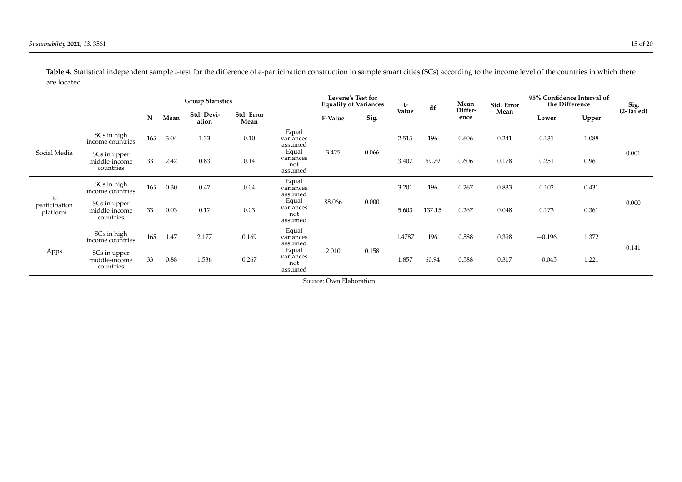<span id="page-14-0"></span>

|                                   |                                            | <b>Group Statistics</b> |      |                     | Levene's Test for<br><b>Equality of Variances</b> |                                      | t-              | df    | Mean   | Std. Error      | 95% Confidence Interval of<br>the Difference |       | Sig.<br>(2-Tailed) |          |       |       |
|-----------------------------------|--------------------------------------------|-------------------------|------|---------------------|---------------------------------------------------|--------------------------------------|-----------------|-------|--------|-----------------|----------------------------------------------|-------|--------------------|----------|-------|-------|
|                                   |                                            | N                       | Mean | Std. Devi-<br>ation | Std. Error<br>Mean                                |                                      | Sig.<br>F-Value | Value |        | Differ-<br>ence | Mean                                         | Lower | Upper              |          |       |       |
| Social Media                      | SCs in high<br>income countries            | 165                     | 3.04 | 1.33                | 0.10                                              | Equal<br>variances<br>assumed        | 3.425           |       | 2.515  | 196             | 0.606                                        | 0.241 | 0.131              | 1.088    |       |       |
|                                   | SCs in upper<br>middle-income<br>countries | 33                      | 2.42 | 0.83                | 0.14                                              | Equal<br>variances<br>not<br>assumed |                 | 0.066 | 3.407  | 69.79           | 0.606                                        | 0.178 | 0.251              | 0.961    | 0.001 |       |
| $E-$<br>participation<br>platform | SCs in high<br>income countries            | 165                     | 0.30 | 0.47                | 0.04                                              | Equal<br>variances<br>assumed        | 88.066          |       | 3.201  | 196             | 0.267                                        | 0.833 | 0.102              | 0.431    |       |       |
|                                   | SCs in upper<br>middle-income<br>countries | 33                      | 0.03 | 0.17                | 0.03                                              | Equal<br>variances<br>not<br>assumed |                 | 0.000 | 5.603  | 137.15          | 0.267                                        | 0.048 | 0.173              | 0.361    | 0.000 |       |
|                                   | SCs in high<br>income countries            | 165                     | 1.47 | 2.177               | 0.169                                             | Equal<br>variances<br>assumed        |                 |       | 1.4787 | 196             | 0.588                                        | 0.398 | $-0.196$           | 1.372    |       |       |
| Apps                              | SCs in upper<br>middle-income<br>countries | 33                      | 0.88 | 1.536               | 0.267                                             | Equal<br>variances<br>not<br>assumed | 2.010           | 0.158 |        | 1.857           | 60.94                                        | 0.588 | 0.317              | $-0.045$ | 1.221 | 0.141 |

Table 4. Statistical independent sample *t*-test for the difference of e-participation construction in sample smart cities (SCs) according to the income level of the countries in which there are located.

Source: Own Elaboration.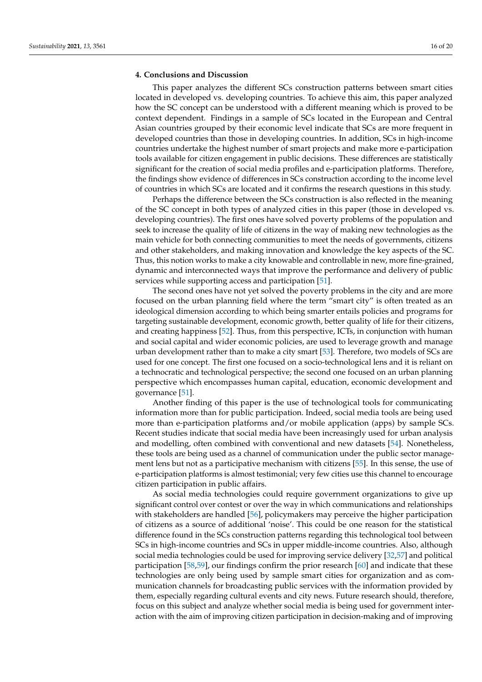### **4. Conclusions and Discussion**

This paper analyzes the different SCs construction patterns between smart cities located in developed vs. developing countries. To achieve this aim, this paper analyzed how the SC concept can be understood with a different meaning which is proved to be context dependent. Findings in a sample of SCs located in the European and Central Asian countries grouped by their economic level indicate that SCs are more frequent in developed countries than those in developing countries. In addition, SCs in high-income countries undertake the highest number of smart projects and make more e-participation tools available for citizen engagement in public decisions. These differences are statistically significant for the creation of social media profiles and e-participation platforms. Therefore, the findings show evidence of differences in SCs construction according to the income level of countries in which SCs are located and it confirms the research questions in this study.

Perhaps the difference between the SCs construction is also reflected in the meaning of the SC concept in both types of analyzed cities in this paper (those in developed vs. developing countries). The first ones have solved poverty problems of the population and seek to increase the quality of life of citizens in the way of making new technologies as the main vehicle for both connecting communities to meet the needs of governments, citizens and other stakeholders, and making innovation and knowledge the key aspects of the SC. Thus, this notion works to make a city knowable and controllable in new, more fine-grained, dynamic and interconnected ways that improve the performance and delivery of public services while supporting access and participation [\[51\]](#page-19-0).

The second ones have not yet solved the poverty problems in the city and are more focused on the urban planning field where the term "smart city" is often treated as an ideological dimension according to which being smarter entails policies and programs for targeting sustainable development, economic growth, better quality of life for their citizens, and creating happiness [\[52\]](#page-19-1). Thus, from this perspective, ICTs, in conjunction with human and social capital and wider economic policies, are used to leverage growth and manage urban development rather than to make a city smart [\[53\]](#page-19-2). Therefore, two models of SCs are used for one concept. The first one focused on a socio-technological lens and it is reliant on a technocratic and technological perspective; the second one focused on an urban planning perspective which encompasses human capital, education, economic development and governance [\[51\]](#page-19-0).

Another finding of this paper is the use of technological tools for communicating information more than for public participation. Indeed, social media tools are being used more than e-participation platforms and/or mobile application (apps) by sample SCs. Recent studies indicate that social media have been increasingly used for urban analysis and modelling, often combined with conventional and new datasets [\[54\]](#page-19-3). Nonetheless, these tools are being used as a channel of communication under the public sector management lens but not as a participative mechanism with citizens [\[55\]](#page-19-4). In this sense, the use of e-participation platforms is almost testimonial; very few cities use this channel to encourage citizen participation in public affairs.

As social media technologies could require government organizations to give up significant control over contest or over the way in which communications and relationships with stakeholders are handled [\[56\]](#page-19-5), policymakers may perceive the higher participation of citizens as a source of additional 'noise'. This could be one reason for the statistical difference found in the SCs construction patterns regarding this technological tool between SCs in high-income countries and SCs in upper middle-income countries. Also, although social media technologies could be used for improving service delivery [\[32,](#page-18-16)[57\]](#page-19-6) and political participation [\[58,](#page-19-7)[59\]](#page-19-8), our findings confirm the prior research [\[60\]](#page-19-9) and indicate that these technologies are only being used by sample smart cities for organization and as communication channels for broadcasting public services with the information provided by them, especially regarding cultural events and city news. Future research should, therefore, focus on this subject and analyze whether social media is being used for government interaction with the aim of improving citizen participation in decision-making and of improving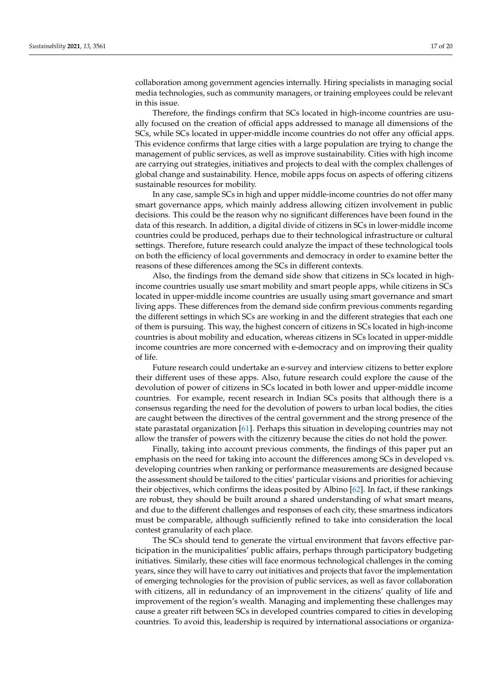collaboration among government agencies internally. Hiring specialists in managing social media technologies, such as community managers, or training employees could be relevant in this issue.

Therefore, the findings confirm that SCs located in high-income countries are usually focused on the creation of official apps addressed to manage all dimensions of the SCs, while SCs located in upper-middle income countries do not offer any official apps. This evidence confirms that large cities with a large population are trying to change the management of public services, as well as improve sustainability. Cities with high income are carrying out strategies, initiatives and projects to deal with the complex challenges of global change and sustainability. Hence, mobile apps focus on aspects of offering citizens sustainable resources for mobility.

In any case, sample SCs in high and upper middle-income countries do not offer many smart governance apps, which mainly address allowing citizen involvement in public decisions. This could be the reason why no significant differences have been found in the data of this research. In addition, a digital divide of citizens in SCs in lower-middle income countries could be produced, perhaps due to their technological infrastructure or cultural settings. Therefore, future research could analyze the impact of these technological tools on both the efficiency of local governments and democracy in order to examine better the reasons of these differences among the SCs in different contexts.

Also, the findings from the demand side show that citizens in SCs located in highincome countries usually use smart mobility and smart people apps, while citizens in SCs located in upper-middle income countries are usually using smart governance and smart living apps. These differences from the demand side confirm previous comments regarding the different settings in which SCs are working in and the different strategies that each one of them is pursuing. This way, the highest concern of citizens in SCs located in high-income countries is about mobility and education, whereas citizens in SCs located in upper-middle income countries are more concerned with e-democracy and on improving their quality of life.

Future research could undertake an e-survey and interview citizens to better explore their different uses of these apps. Also, future research could explore the cause of the devolution of power of citizens in SCs located in both lower and upper-middle income countries. For example, recent research in Indian SCs posits that although there is a consensus regarding the need for the devolution of powers to urban local bodies, the cities are caught between the directives of the central government and the strong presence of the state parastatal organization [\[61\]](#page-19-10). Perhaps this situation in developing countries may not allow the transfer of powers with the citizenry because the cities do not hold the power.

Finally, taking into account previous comments, the findings of this paper put an emphasis on the need for taking into account the differences among SCs in developed vs. developing countries when ranking or performance measurements are designed because the assessment should be tailored to the cities' particular visions and priorities for achieving their objectives, which confirms the ideas posited by Albino [\[62\]](#page-19-11). In fact, if these rankings are robust, they should be built around a shared understanding of what smart means, and due to the different challenges and responses of each city, these smartness indicators must be comparable, although sufficiently refined to take into consideration the local contest granularity of each place.

The SCs should tend to generate the virtual environment that favors effective participation in the municipalities' public affairs, perhaps through participatory budgeting initiatives. Similarly, these cities will face enormous technological challenges in the coming years, since they will have to carry out initiatives and projects that favor the implementation of emerging technologies for the provision of public services, as well as favor collaboration with citizens, all in redundancy of an improvement in the citizens' quality of life and improvement of the region's wealth. Managing and implementing these challenges may cause a greater rift between SCs in developed countries compared to cities in developing countries. To avoid this, leadership is required by international associations or organiza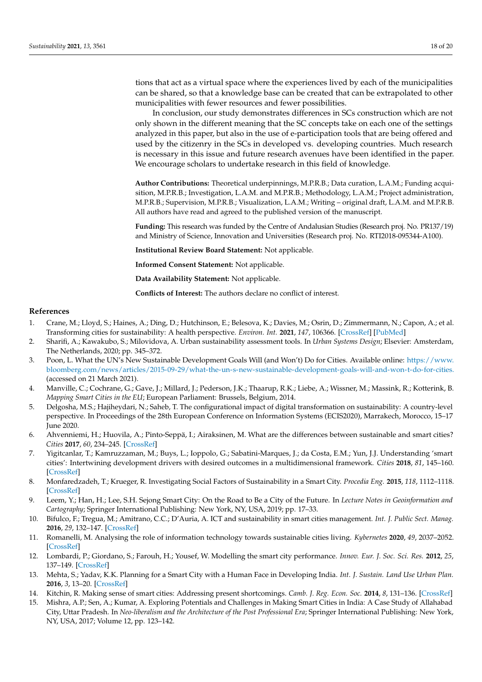tions that act as a virtual space where the experiences lived by each of the municipalities can be shared, so that a knowledge base can be created that can be extrapolated to other municipalities with fewer resources and fewer possibilities.

In conclusion, our study demonstrates differences in SCs construction which are not only shown in the different meaning that the SC concepts take on each one of the settings analyzed in this paper, but also in the use of e-participation tools that are being offered and used by the citizenry in the SCs in developed vs. developing countries. Much research is necessary in this issue and future research avenues have been identified in the paper. We encourage scholars to undertake research in this field of knowledge.

**Author Contributions:** Theoretical underpinnings, M.P.R.B.; Data curation, L.A.M.; Funding acquisition, M.P.R.B.; Investigation, L.A.M. and M.P.R.B.; Methodology, L.A.M.; Project administration, M.P.R.B.; Supervision, M.P.R.B.; Visualization, L.A.M.; Writing – original draft, L.A.M. and M.P.R.B. All authors have read and agreed to the published version of the manuscript.

**Funding:** This research was funded by the Centre of Andalusian Studies (Research proj. No. PR137/19) and Ministry of Science, Innovation and Universities (Research proj. No. RTI2018-095344-A100).

**Institutional Review Board Statement:** Not applicable.

**Informed Consent Statement:** Not applicable.

**Data Availability Statement:** Not applicable.

**Conflicts of Interest:** The authors declare no conflict of interest.

#### **References**

- <span id="page-17-0"></span>1. Crane, M.; Lloyd, S.; Haines, A.; Ding, D.; Hutchinson, E.; Belesova, K.; Davies, M.; Osrin, D.; Zimmermann, N.; Capon, A.; et al. Transforming cities for sustainability: A health perspective. *Environ. Int.* **2021**, *147*, 106366. [\[CrossRef\]](http://doi.org/10.1016/j.envint.2020.106366) [\[PubMed\]](http://www.ncbi.nlm.nih.gov/pubmed/33422969)
- <span id="page-17-1"></span>2. Sharifi, A.; Kawakubo, S.; Milovidova, A. Urban sustainability assessment tools. In *Urban Systems Design*; Elsevier: Amsterdam, The Netherlands, 2020; pp. 345–372.
- <span id="page-17-2"></span>3. Poon, L. What the UN's New Sustainable Development Goals Will (and Won't) Do for Cities. Available online: [https://www.](https://www.bloomberg.com/news/articles/2015-09-29/what-the-un-s-new-sustainable-development-goals-will-and-won-t-do-for-cities.) [bloomberg.com/news/articles/2015-09-29/what-the-un-s-new-sustainable-development-goals-will-and-won-t-do-for-cities.](https://www.bloomberg.com/news/articles/2015-09-29/what-the-un-s-new-sustainable-development-goals-will-and-won-t-do-for-cities.) (accessed on 21 March 2021).
- <span id="page-17-3"></span>4. Manville, C.; Cochrane, G.; Gave, J.; Millard, J.; Pederson, J.K.; Thaarup, R.K.; Liebe, A.; Wissner, M.; Massink, R.; Kotterink, B. *Mapping Smart Cities in the EU*; European Parliament: Brussels, Belgium, 2014.
- <span id="page-17-4"></span>5. Delgosha, M.S.; Hajiheydari, N.; Saheb, T. The configurational impact of digital transformation on sustainability: A country-level perspective. In Proceedings of the 28th European Conference on Information Systems (ECIS2020), Marrakech, Morocco, 15–17 June 2020.
- <span id="page-17-5"></span>6. Ahvenniemi, H.; Huovila, A.; Pinto-Seppä, I.; Airaksinen, M. What are the differences between sustainable and smart cities? *Cities* **2017**, *60*, 234–245. [\[CrossRef\]](http://doi.org/10.1016/j.cities.2016.09.009)
- <span id="page-17-6"></span>7. Yigitcanlar, T.; Kamruzzaman, M.; Buys, L.; Ioppolo, G.; Sabatini-Marques, J.; da Costa, E.M.; Yun, J.J. Understanding 'smart cities': Intertwining development drivers with desired outcomes in a multidimensional framework. *Cities* **2018**, *81*, 145–160. [\[CrossRef\]](http://doi.org/10.1016/j.cities.2018.04.003)
- <span id="page-17-7"></span>8. Monfaredzadeh, T.; Krueger, R. Investigating Social Factors of Sustainability in a Smart City. *Procedia Eng.* **2015**, *118*, 1112–1118. [\[CrossRef\]](http://doi.org/10.1016/j.proeng.2015.08.452)
- <span id="page-17-8"></span>9. Leem, Y.; Han, H.; Lee, S.H. Sejong Smart City: On the Road to Be a City of the Future. In *Lecture Notes in Geoinformation and Cartography*; Springer International Publishing: New York, NY, USA, 2019; pp. 17–33.
- <span id="page-17-9"></span>10. Bifulco, F.; Tregua, M.; Amitrano, C.C.; D'Auria, A. ICT and sustainability in smart cities management. *Int. J. Public Sect. Manag.* **2016**, *29*, 132–147. [\[CrossRef\]](http://doi.org/10.1108/IJPSM-07-2015-0132)
- <span id="page-17-10"></span>11. Romanelli, M. Analysing the role of information technology towards sustainable cities living. *Kybernetes* **2020**, *49*, 2037–2052. [\[CrossRef\]](http://doi.org/10.1108/K-07-2019-0516)
- <span id="page-17-11"></span>12. Lombardi, P.; Giordano, S.; Farouh, H.; Yousef, W. Modelling the smart city performance. *Innov. Eur. J. Soc. Sci. Res.* **2012**, *25*, 137–149. [\[CrossRef\]](http://doi.org/10.1080/13511610.2012.660325)
- <span id="page-17-12"></span>13. Mehta, S.; Yadav, K.K. Planning for a Smart City with a Human Face in Developing India. *Int. J. Sustain. Land Use Urban Plan.* **2016**, *3*, 13–20. [\[CrossRef\]](http://doi.org/10.24102/ijslup.v3i2.708)
- <span id="page-17-13"></span>14. Kitchin, R. Making sense of smart cities: Addressing present shortcomings. *Camb. J. Reg. Econ. Soc.* **2014**, *8*, 131–136. [\[CrossRef\]](http://doi.org/10.1093/cjres/rsu027)
- <span id="page-17-14"></span>15. Mishra, A.P.; Sen, A.; Kumar, A. Exploring Potentials and Challenges in Making Smart Cities in India: A Case Study of Allahabad City, Uttar Pradesh. In *Neo-liberalism and the Architecture of the Post Professional Era*; Springer International Publishing: New York, NY, USA, 2017; Volume 12, pp. 123–142.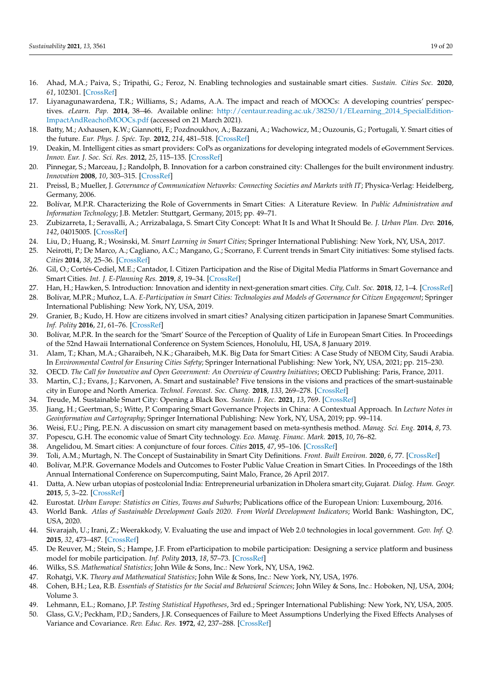- <span id="page-18-0"></span>16. Ahad, M.A.; Paiva, S.; Tripathi, G.; Feroz, N. Enabling technologies and sustainable smart cities. *Sustain. Cities Soc.* **2020**, *61*, 102301. [\[CrossRef\]](http://doi.org/10.1016/j.scs.2020.102301)
- <span id="page-18-1"></span>17. Liyanagunawardena, T.R.; Williams, S.; Adams, A.A. The impact and reach of MOOCs: A developing countries' perspectives. *eLearn. Pap.* **2014**, 38–46. Available online: [http://centaur.reading.ac.uk/38250/1/ELearning\\_2014\\_SpecialEdition-](http://centaur.reading.ac.uk/38250/1/ELearning_2014_SpecialEdition-ImpactAndReachofMOOCs.pdf)[ImpactAndReachofMOOCs.pdf](http://centaur.reading.ac.uk/38250/1/ELearning_2014_SpecialEdition-ImpactAndReachofMOOCs.pdf) (accessed on 21 March 2021).
- <span id="page-18-2"></span>18. Batty, M.; Axhausen, K.W.; Giannotti, F.; Pozdnoukhov, A.; Bazzani, A.; Wachowicz, M.; Ouzounis, G.; Portugali, Y. Smart cities of the future. *Eur. Phys. J. Spéc. Top.* **2012**, *214*, 481–518. [\[CrossRef\]](http://doi.org/10.1140/epjst/e2012-01703-3)
- <span id="page-18-3"></span>19. Deakin, M. Intelligent cities as smart providers: CoPs as organizations for developing integrated models of eGovernment Services. *Innov. Eur. J. Soc. Sci. Res.* **2012**, *25*, 115–135. [\[CrossRef\]](http://doi.org/10.1080/13511610.2012.660324)
- <span id="page-18-4"></span>20. Pinnegar, S.; Marceau, J.; Randolph, B. Innovation for a carbon constrained city: Challenges for the built environment industry. *Innovation* **2008**, *10*, 303–315. [\[CrossRef\]](http://doi.org/10.5172/impp.453.10.2-3.303)
- <span id="page-18-5"></span>21. Preissl, B.; Mueller, J. *Governance of Communication Networks: Connecting Societies and Markets with IT*; Physica-Verlag: Heidelberg, Germany, 2006.
- <span id="page-18-6"></span>22. Bolívar, M.P.R. Characterizing the Role of Governments in Smart Cities: A Literature Review. In *Public Administration and Information Technology*; J.B. Metzler: Stuttgart, Germany, 2015; pp. 49–71.
- <span id="page-18-7"></span>23. Zubizarreta, I.; Seravalli, A.; Arrizabalaga, S. Smart City Concept: What It Is and What It Should Be. *J. Urban Plan. Dev.* **2016**, *142*, 04015005. [\[CrossRef\]](http://doi.org/10.1061/(ASCE)UP.1943-5444.0000282)
- <span id="page-18-8"></span>24. Liu, D.; Huang, R.; Wosinski, M. *Smart Learning in Smart Cities*; Springer International Publishing: New York, NY, USA, 2017.
- <span id="page-18-9"></span>25. Neirotti, P.; De Marco, A.; Cagliano, A.C.; Mangano, G.; Scorrano, F. Current trends in Smart City initiatives: Some stylised facts. *Cities* **2014**, *38*, 25–36. [\[CrossRef\]](http://doi.org/10.1016/j.cities.2013.12.010)
- <span id="page-18-10"></span>26. Gil, O.; Cortés-Cediel, M.E.; Cantador, I. Citizen Participation and the Rise of Digital Media Platforms in Smart Governance and Smart Cities. *Int. J. E-Planning Res.* **2019**, *8*, 19–34. [\[CrossRef\]](http://doi.org/10.4018/IJEPR.2019010102)
- <span id="page-18-11"></span>27. Han, H.; Hawken, S. Introduction: Innovation and identity in next-generation smart cities. *City, Cult. Soc.* **2018**, *12*, 1–4. [\[CrossRef\]](http://doi.org/10.1016/j.ccs.2017.12.003)
- <span id="page-18-12"></span>28. Bolívar, M.P.R.; Muñoz, L.A. *E-Participation in Smart Cities: Technologies and Models of Governance for Citizen Engagement*; Springer International Publishing: New York, NY, USA, 2019.
- <span id="page-18-13"></span>29. Granier, B.; Kudo, H. How are citizens involved in smart cities? Analysing citizen participation in Japanese Smart Communities. *Inf. Polity* **2016**, *21*, 61–76. [\[CrossRef\]](http://doi.org/10.3233/IP-150367)
- <span id="page-18-14"></span>30. Bolívar, M.P.R. In the search for the 'Smart' Source of the Perception of Quality of Life in European Smart Cities. In Proceedings of the 52nd Hawaii International Conference on System Sciences, Honolulu, HI, USA, 8 January 2019.
- <span id="page-18-15"></span>31. Alam, T.; Khan, M.A.; Gharaibeh, N.K.; Gharaibeh, M.K. Big Data for Smart Cities: A Case Study of NEOM City, Saudi Arabia. In *Environmental Control for Ensuring Cities Safety*; Springer International Publishing: New York, NY, USA, 2021; pp. 215–230.
- <span id="page-18-16"></span>32. OECD. *The Call for Innovative and Open Government: An Overview of Country Initiatives*; OECD Publishing: Paris, France, 2011.
- <span id="page-18-17"></span>33. Martin, C.J.; Evans, J.; Karvonen, A. Smart and sustainable? Five tensions in the visions and practices of the smart-sustainable city in Europe and North America. *Technol. Forecast. Soc. Chang.* **2018**, *133*, 269–278. [\[CrossRef\]](http://doi.org/10.1016/j.techfore.2018.01.005)
- <span id="page-18-18"></span>34. Treude, M. Sustainable Smart City: Opening a Black Box. *Sustain. J. Rec.* **2021**, *13*, 769. [\[CrossRef\]](http://doi.org/10.3390/su13020769)
- <span id="page-18-19"></span>35. Jiang, H.; Geertman, S.; Witte, P. Comparing Smart Governance Projects in China: A Contextual Approach. In *Lecture Notes in Geoinformation and Cartography*; Springer International Publishing: New York, NY, USA, 2019; pp. 99–114.
- <span id="page-18-20"></span>36. Weisi, F.U.; Ping, P.E.N. A discussion on smart city management based on meta-synthesis method. *Manag. Sci. Eng.* **2014**, *8*, 73.
- <span id="page-18-21"></span>37. Popescu, G.H. The economic value of Smart City technology. *Eco. Manag. Financ. Mark.* **2015**, *10*, 76–82.
- <span id="page-18-22"></span>38. Angelidou, M. Smart cities: A conjuncture of four forces. *Cities* **2015**, *47*, 95–106. [\[CrossRef\]](http://doi.org/10.1016/j.cities.2015.05.004)
- <span id="page-18-23"></span>39. Toli, A.M.; Murtagh, N. The Concept of Sustainability in Smart City Definitions. *Front. Built Environ.* **2020**, *6*, 77. [\[CrossRef\]](http://doi.org/10.3389/fbuil.2020.00077)
- <span id="page-18-24"></span>40. Bolívar, M.P.R. Governance Models and Outcomes to Foster Public Value Creation in Smart Cities. In Proceedings of the 18th Annual International Conference on Supercomputing, Saint Malo, France, 26 April 2017.
- <span id="page-18-25"></span>41. Datta, A. New urban utopias of postcolonial India: Entrepreneurial urbanization in Dholera smart city, Gujarat. *Dialog. Hum. Geogr.* **2015**, *5*, 3–22. [\[CrossRef\]](http://doi.org/10.1177/2043820614565748)
- <span id="page-18-26"></span>42. Eurostat. *Urban Europe: Statistics on Cities, Towns and Suburbs*; Publications office of the European Union: Luxembourg, 2016.
- <span id="page-18-27"></span>43. World Bank. *Atlas of Sustainable Development Goals 2020. From World Development Indicators*; World Bank: Washington, DC, USA, 2020.
- <span id="page-18-28"></span>44. Sivarajah, U.; Irani, Z.; Weerakkody, V. Evaluating the use and impact of Web 2.0 technologies in local government. *Gov. Inf. Q.* **2015**, *32*, 473–487. [\[CrossRef\]](http://doi.org/10.1016/j.giq.2015.06.004)
- <span id="page-18-29"></span>45. De Reuver, M.; Stein, S.; Hampe, J.F. From eParticipation to mobile participation: Designing a service platform and business model for mobile participation. *Inf. Polity* **2013**, *18*, 57–73. [\[CrossRef\]](http://doi.org/10.3233/IP-2012-0276)
- <span id="page-18-30"></span>46. Wilks, S.S. *Mathematical Statistics*; John Wile & Sons, Inc.: New York, NY, USA, 1962.
- 47. Rohatgi, V.K. *Theory and Mathematical Statistics*; John Wile & Sons, Inc.: New York, NY, USA, 1976.
- 48. Cohen, B.H.; Lea, R.B. *Essentials of Statistics for the Social and Behavioral Sciences*; John Wiley & Sons, Inc.: Hoboken, NJ, USA, 2004; Volume 3.
- <span id="page-18-31"></span>49. Lehmann, E.L.; Romano, J.P. *Testing Statistical Hypotheses*, 3rd ed.; Springer International Publishing: New York, NY, USA, 2005.
- <span id="page-18-32"></span>50. Glass, G.V.; Peckham, P.D.; Sanders, J.R. Consequences of Failure to Meet Assumptions Underlying the Fixed Effects Analyses of Variance and Covariance. *Rev. Educ. Res.* **1972**, *42*, 237–288. [\[CrossRef\]](http://doi.org/10.3102/00346543042003237)